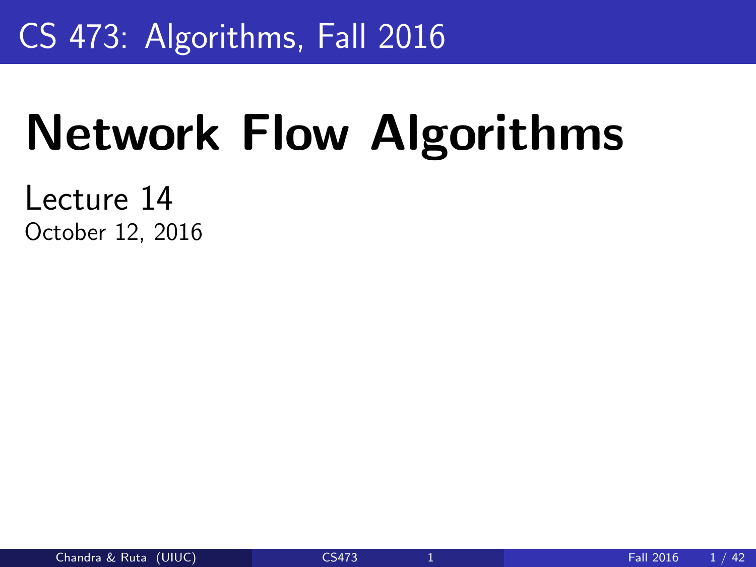### <span id="page-0-0"></span>CS 473: Algorithms, Fall 2016

# Network Flow Algorithms

Lecture 14 October 12, 2016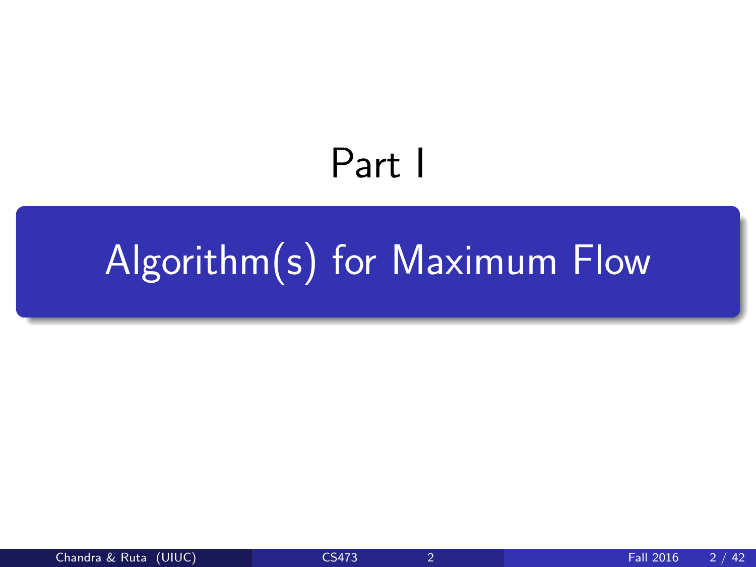# Part I

# <span id="page-1-0"></span>[Algorithm\(s\) for Maximum Flow](#page-1-0)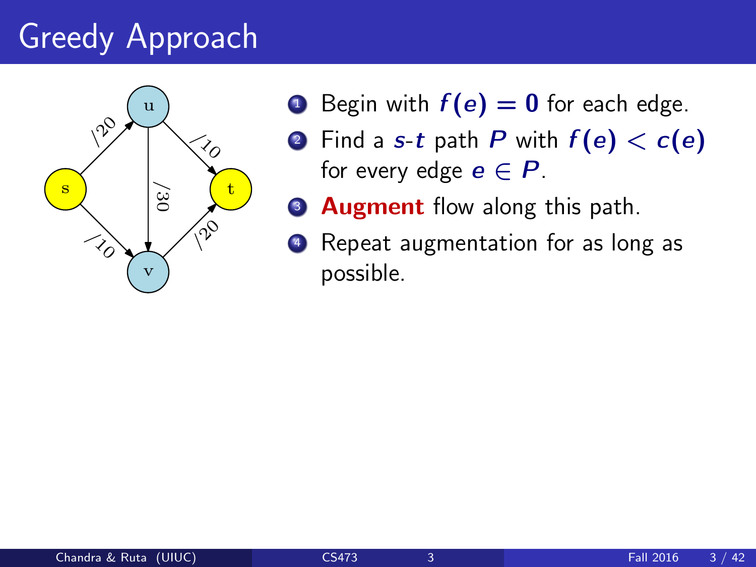

- **1** Begin with  $f(e) = 0$  for each edge.
- **2** Find a s-t path P with  $f(e) < c(e)$ for every edge  $e \in P$ .
- **3 Augment** flow along this path.
- Repeat augmentation for as long as possible.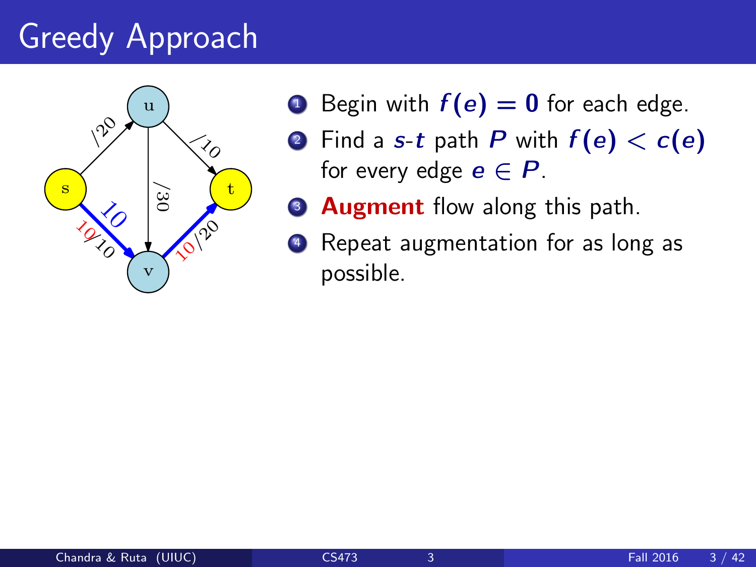

- **1** Begin with  $f(e) = 0$  for each edge.
- **2** Find a s-t path P with  $f(e) < c(e)$ for every edge  $e \in P$ .
- **3 Augment** flow along this path.
- Repeat augmentation for as long as possible.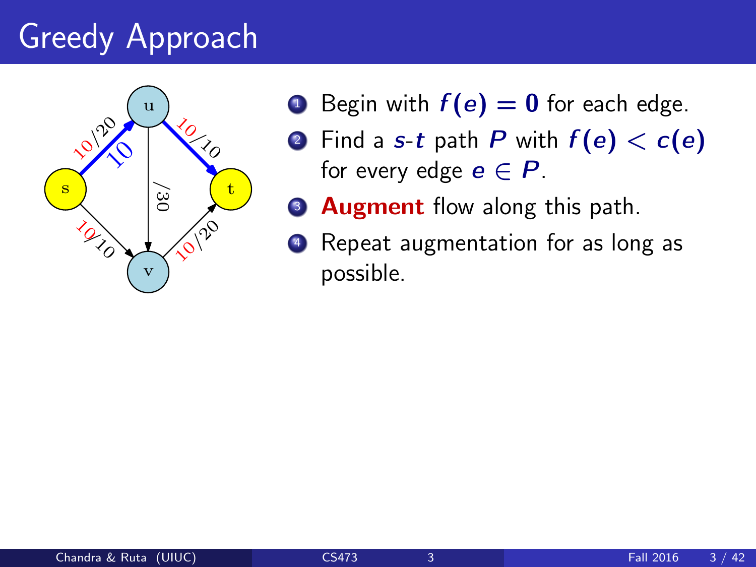

- **1** Begin with  $f(e) = 0$  for each edge.
- **2** Find a s-t path P with  $f(e) < c(e)$ for every edge  $e \in P$ .
- **3 Augment** flow along this path.
- Repeat augmentation for as long as possible.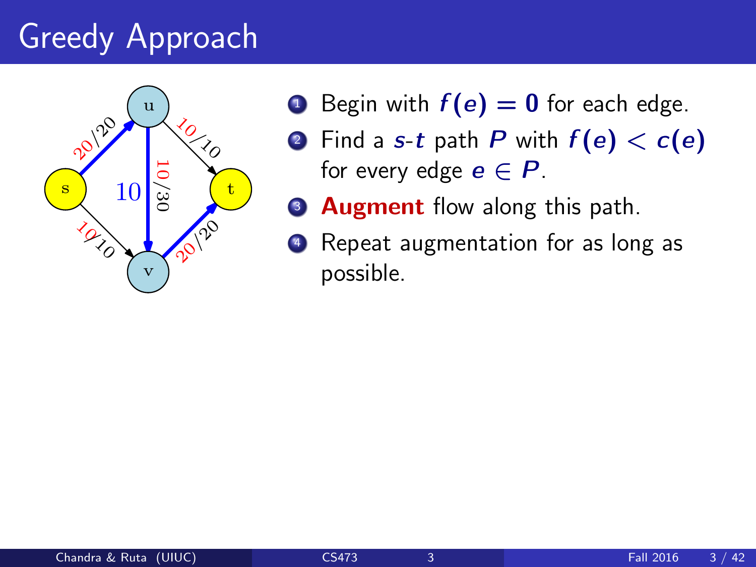

- **1** Begin with  $f(e) = 0$  for each edge.
- **2** Find a s-t path P with  $f(e) < c(e)$ for every edge  $e \in P$ .
- **3 Augment** flow along this path.
	- Repeat augmentation for as long as possible.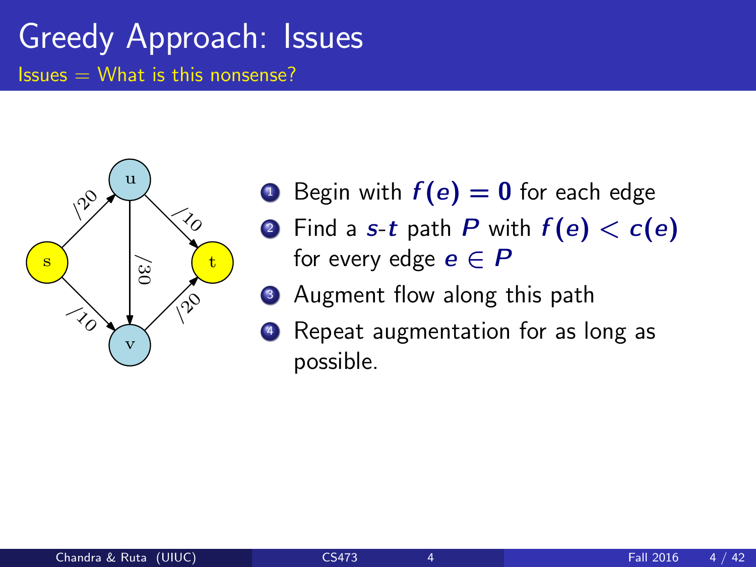

- **1** Begin with  $f(e) = 0$  for each edge
- **2** Find a s-t path P with  $f(e) < c(e)$ for every edge  $e \in P$
- **3** Augment flow along this path
- <sup>4</sup> Repeat augmentation for as long as possible.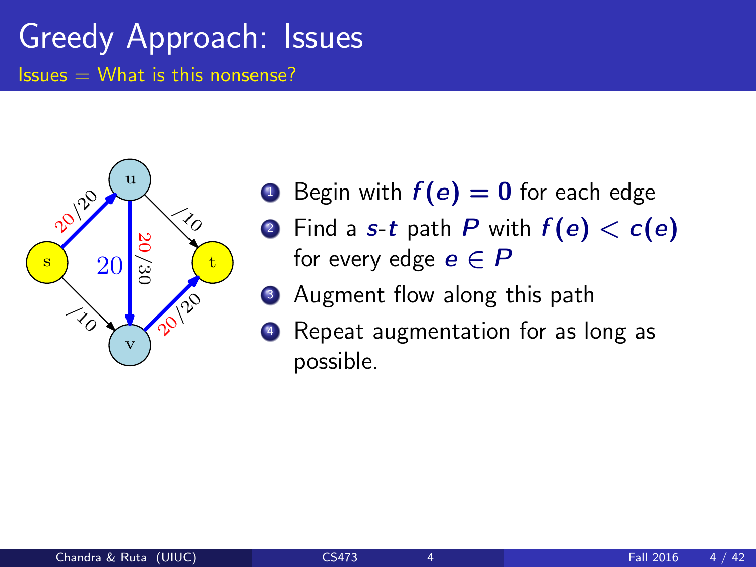

- **1** Begin with  $f(e) = 0$  for each edge
- **2** Find a s-t path P with  $f(e) < c(e)$ for every edge  $e \in P$
- **3** Augment flow along this path
- <sup>4</sup> Repeat augmentation for as long as possible.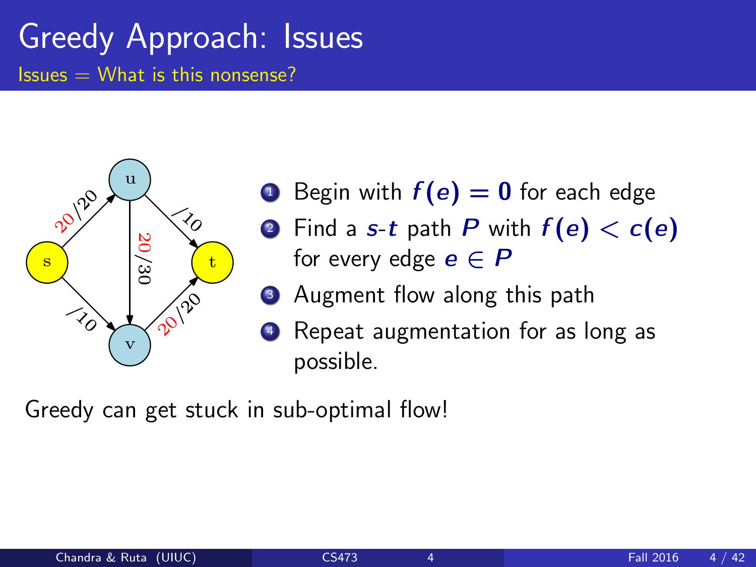

- **1** Begin with  $f(e) = 0$  for each edge
- **2** Find a s-t path P with  $f(e) < c(e)$ for every edge  $e \in P$
- **3** Augment flow along this path
- <sup>4</sup> Repeat augmentation for as long as possible.

Greedy can get stuck in sub-optimal flow!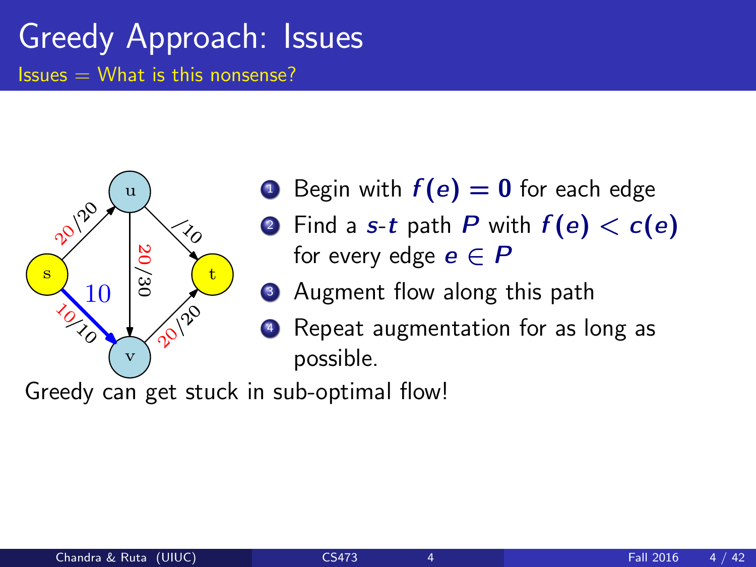

- **1** Begin with  $f(e) = 0$  for each edge
- **2** Find a s-t path P with  $f(e) < c(e)$ for every edge  $e \in P$
- **3** Augment flow along this path
	- Repeat augmentation for as long as possible.

Greedy can get stuck in sub-optimal flow!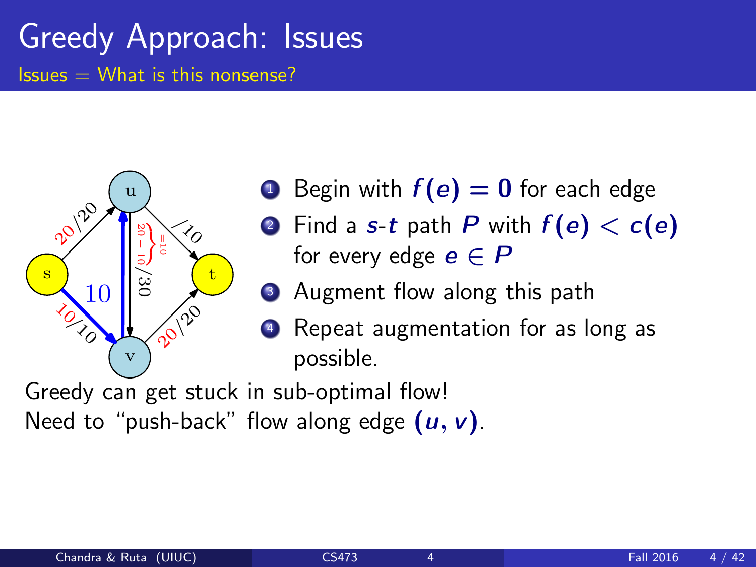

- **1** Begin with  $f(e) = 0$  for each edge
- **2** Find a s-t path P with  $f(e) < c(e)$ for every edge  $e \in P$
- **3** Augment flow along this path
- **4** Repeat augmentation for as long as possible.

Greedy can get stuck in sub-optimal flow! Need to "push-back" flow along edge  $(u, v)$ .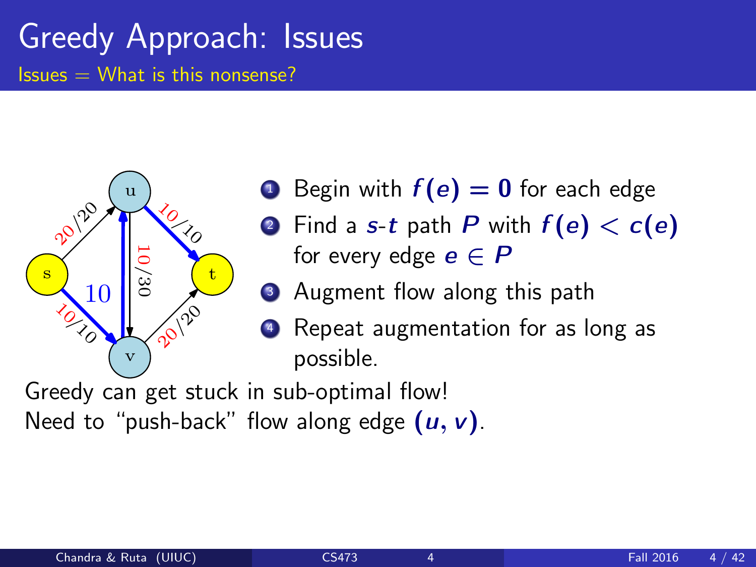

- **1** Begin with  $f(e) = 0$  for each edge
- **2** Find a s-t path P with  $f(e) < c(e)$ for every edge  $e \in P$
- **3** Augment flow along this path
- **4** Repeat augmentation for as long as possible.

Greedy can get stuck in sub-optimal flow! Need to "push-back" flow along edge  $(u, v)$ .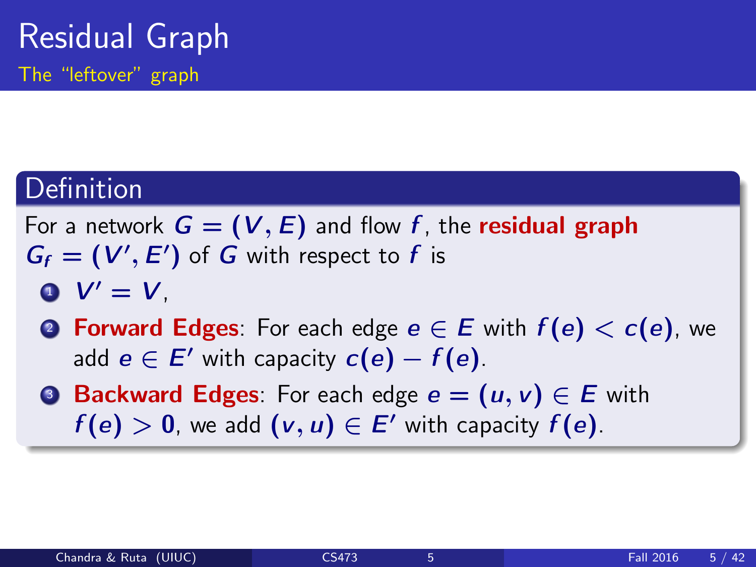#### Definition

For a network  $G = (V, E)$  and flow f, the **residual graph**  $G_f = (V', E')$  of G with respect to f is

 $\bullet$   $V' = V$ .

- **2 Forward Edges:** For each edge  $e \in E$  with  $f(e) < c(e)$ , we add  $e \in E'$  with capacity  $c(e) - f(e)$ .
- **3 Backward Edges**: For each edge  $e = (u, v) \in E$  with  $f(e) > 0$ , we add  $(v, u) \in E'$  with capacity  $f(e)$ .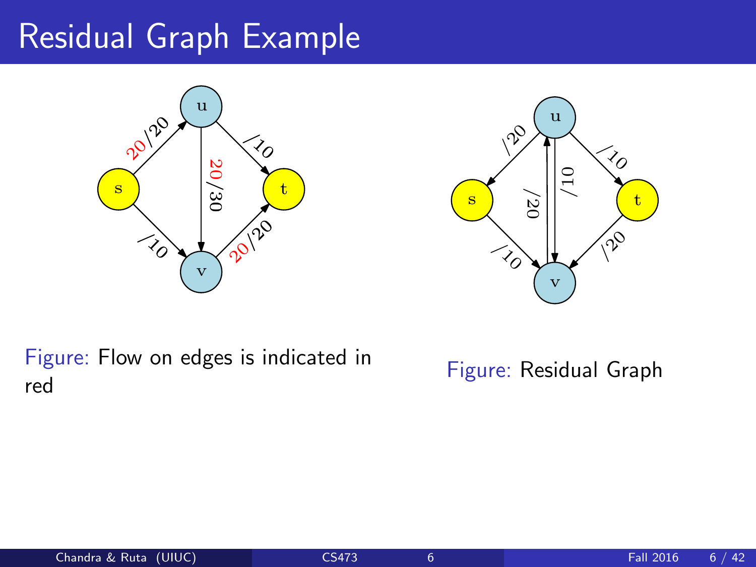### Residual Graph Example





Figure: Flow on edges is indicated in red

Figure: Residual Graph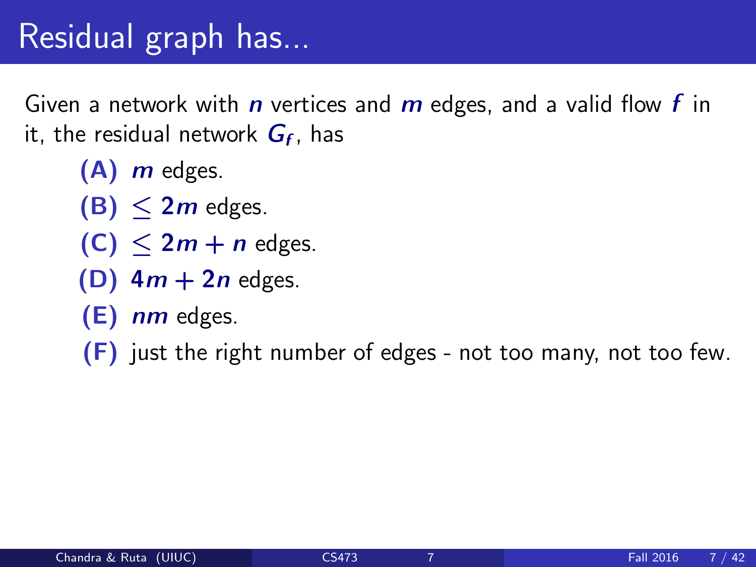## Residual graph has...

Given a network with *n* vertices and *m* edges, and a valid flow *f* in it, the residual network  $\boldsymbol{G_{f}}$ , has

- $(A)$  *m* edges.
- $(B) < 2m$  edges.
- $(C)$   $\leq 2m + n$  edges.
- (D)  $4m + 2n$  edges.
- $(E)$  nm edges.

 $(F)$  just the right number of edges - not too many, not too few.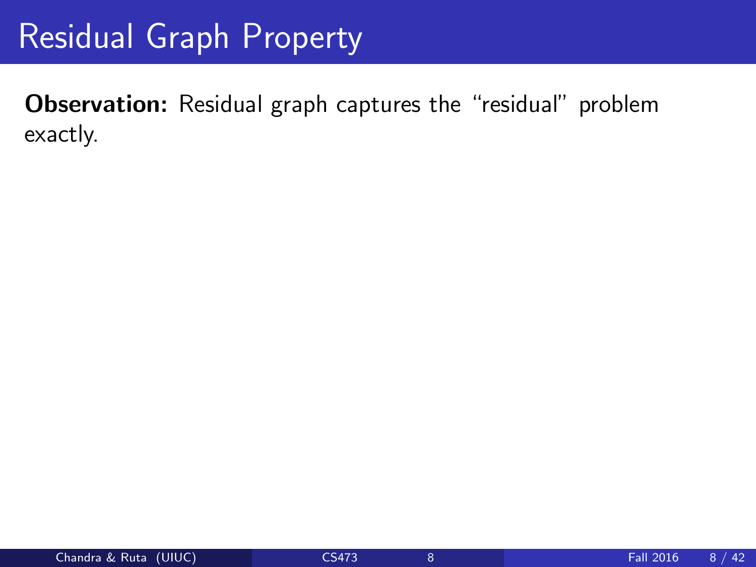Observation: Residual graph captures the "residual" problem exactly.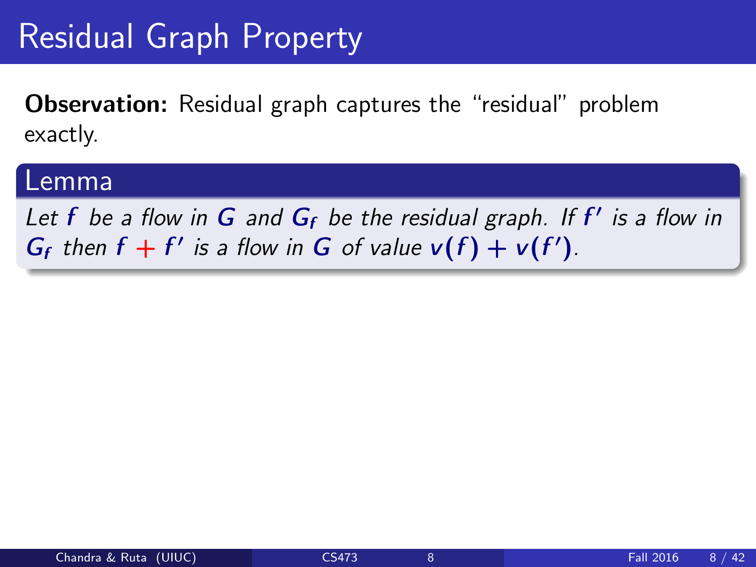Observation: Residual graph captures the "residual" problem exactly.

#### Lemma

Let f be a flow in  $G$  and  $G_f$  be the residual graph. If  $f'$  is a flow in  $G_f$  then  $f + f'$  is a flow in G of value  $v(f) + v(f')$ .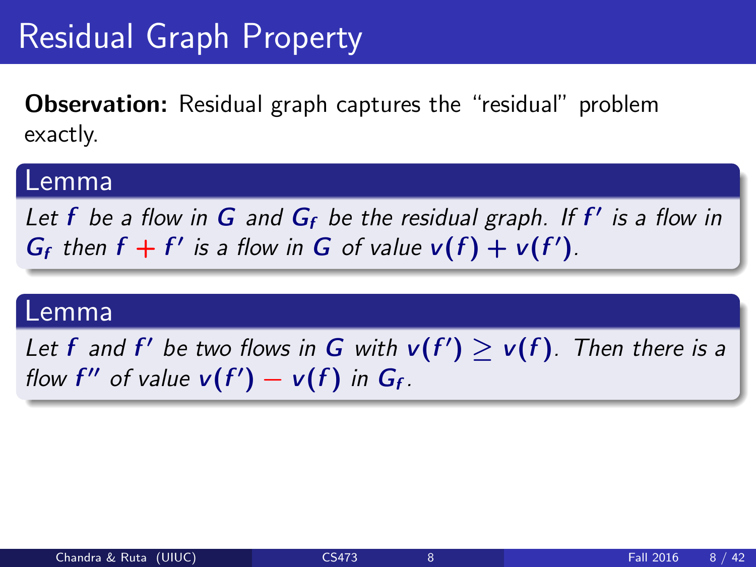Observation: Residual graph captures the "residual" problem exactly.

#### Lemma

Let f be a flow in  $G$  and  $G_f$  be the residual graph. If  $f'$  is a flow in  $G_f$  then  $f + f'$  is a flow in G of value  $v(f) + v(f')$ .

#### Lemma

Let f and f' be two flows in G with  $v(f') \ge v(f)$ . Then there is a flow f'' of value  $v(f') - v(f)$  in  $G_f$ .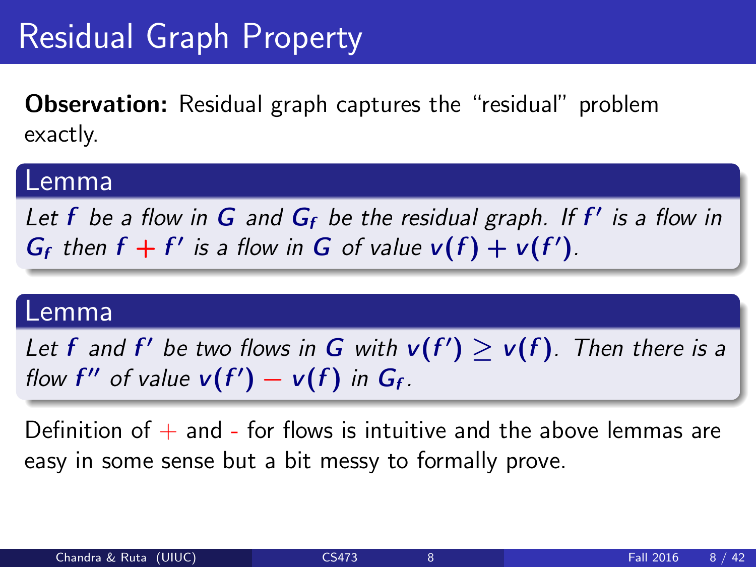Observation: Residual graph captures the "residual" problem exactly.

#### Lemma

Let f be a flow in  $G$  and  $G_f$  be the residual graph. If  $f'$  is a flow in  $G_f$  then  $f + f'$  is a flow in G of value  $v(f) + v(f')$ .

#### Lemma

Let f and f' be two flows in G with  $v(f') \ge v(f)$ . Then there is a flow f'' of value  $v(f') - v(f)$  in  $G_f$ .

Definition of  $+$  and - for flows is intuitive and the above lemmas are easy in some sense but a bit messy to formally prove.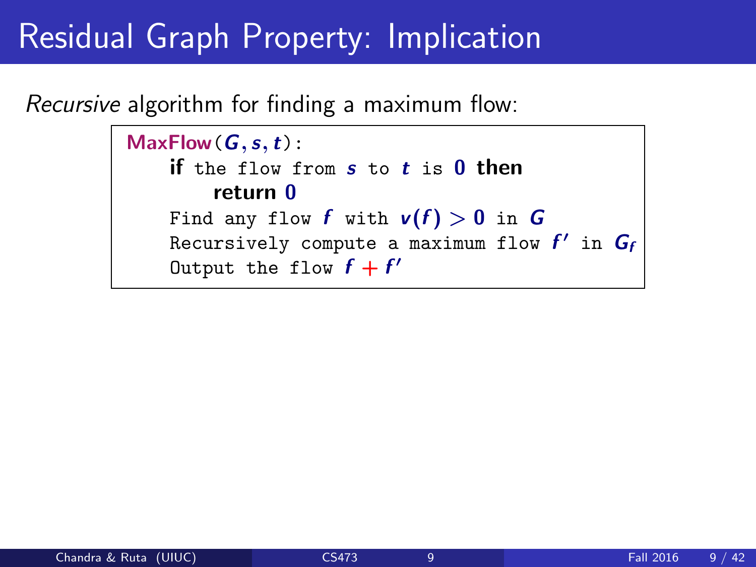### Residual Graph Property: Implication

Recursive algorithm for finding a maximum flow:

```
MaxFlow(G, s, t):
if the flow from s to t is 0 then
    return 0
Find any flow f with v(f) > 0 in G
Recursively compute a maximum flow f' in G_fOutput the flow f + f'
```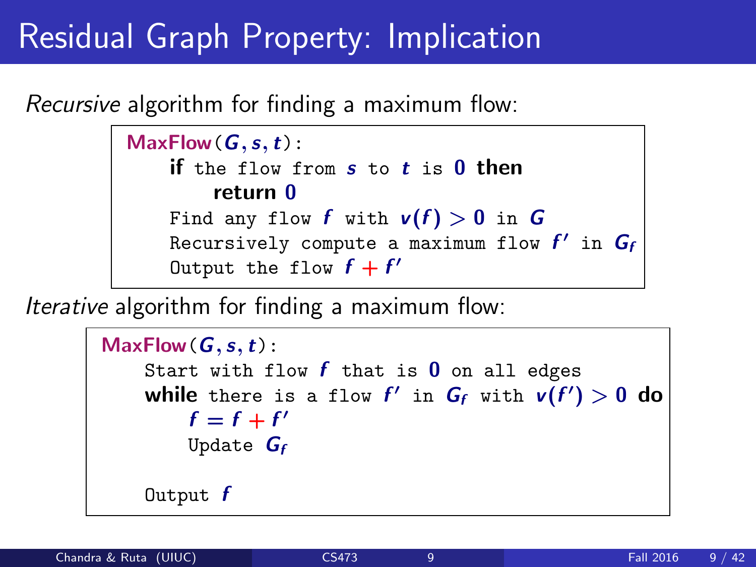## Residual Graph Property: Implication

Recursive algorithm for finding a maximum flow:

```
MaxFlow(G, s, t):
if the flow from s to t is 0 then
    return 0
Find any flow f with v(f) > 0 in G
Recursively compute a maximum flow f' in G_fOutput the flow f + f'
```
Iterative algorithm for finding a maximum flow:

```
MaxFlow(G, s, t):
Start with flow f that is 0 on all edges
while there is a flow f' in G_f with v(f') > 0 do
    f = f + f'Update G_fOutput f
```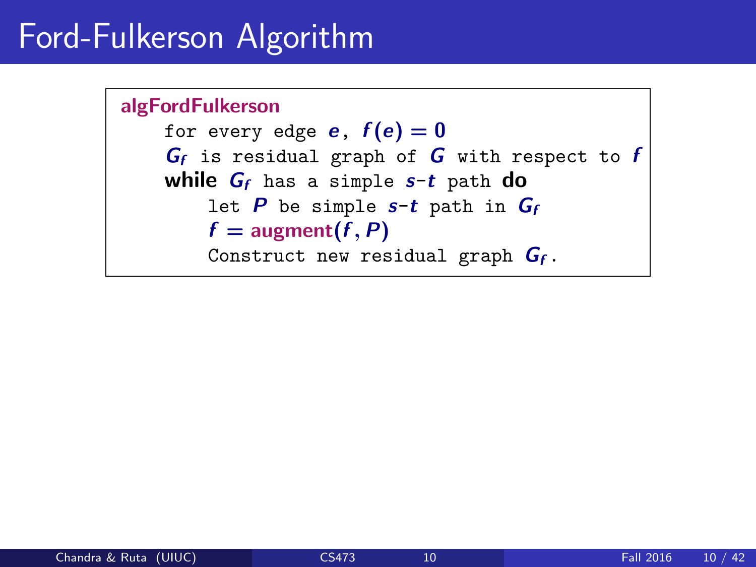## Ford-Fulkerson Algorithm

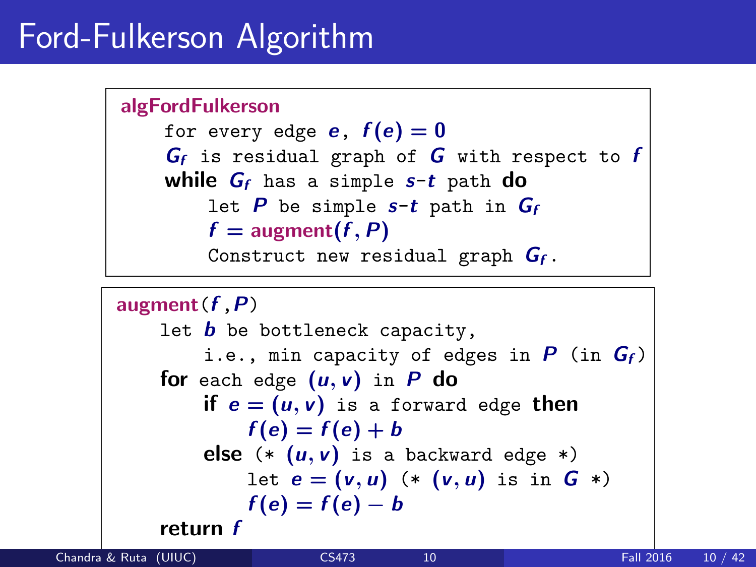# Ford-Fulkerson Algorithm

```
algFordFulkerson
for every edge e, f(e) = 0G_f is residual graph of G with respect to fwhile G_f has a simple s-t path do
    let P be simple s-t path in G_ff = \text{augment}(f, P)Construct new residual graph G_f.
```

```
augment(f, P)let b be bottleneck capacity,
    i.e., min capacity of edges in P (in G_f)
for each edge (u, v) in P do
    if e = (u, v) is a forward edge then
        f(e) = f(e) + belse (* (u, v) is a backward edge *)let e = (v, u) (* (v, u) is in G *)
        f(e) = f(e) - breturn f
```
Chandra & Ruta (UIUC) [CS473](#page-0-0) 10 Fall 2016 10 / 42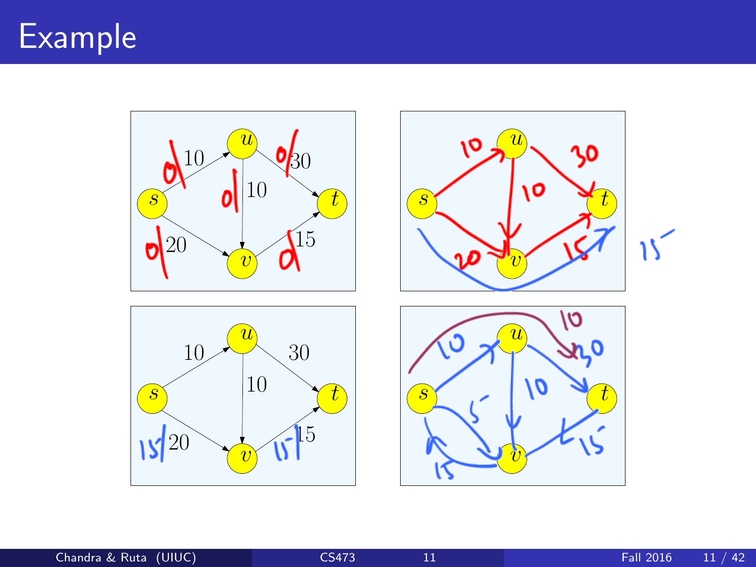### Example

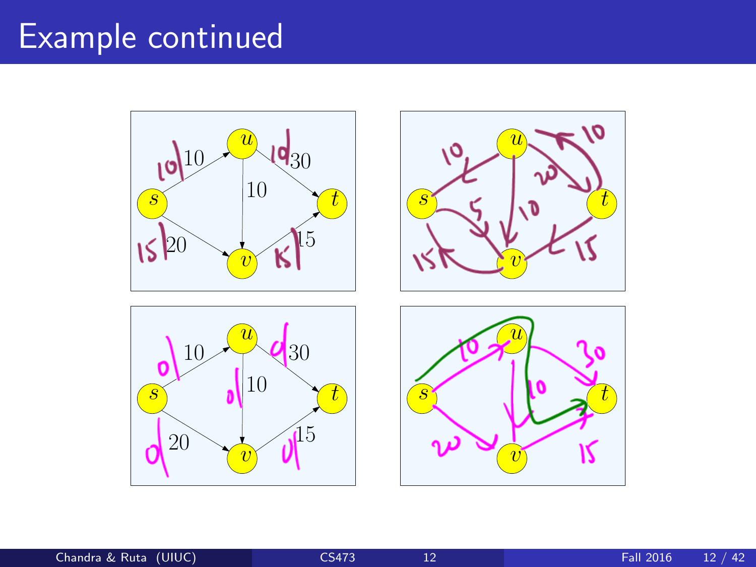### Example continued



Chandra & Ruta (UIUC) **[CS473](#page-0-0)** 12 Fall 2016 12 / 42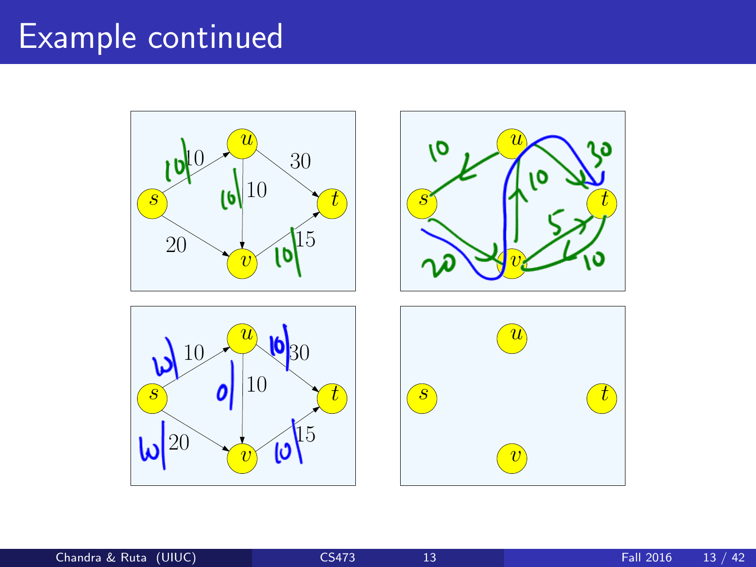# Example continued



Chandra & Ruta (UIUC) [CS473](#page-0-0) 13 Fall 2016 13 / 42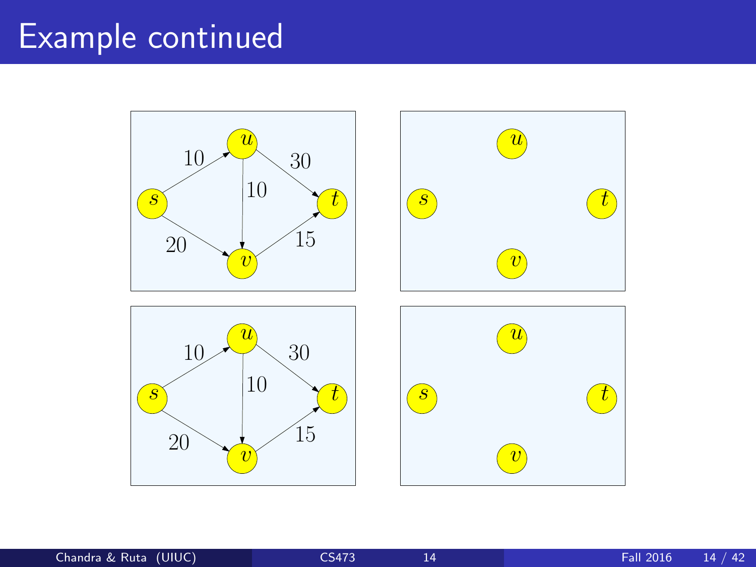# Example continued

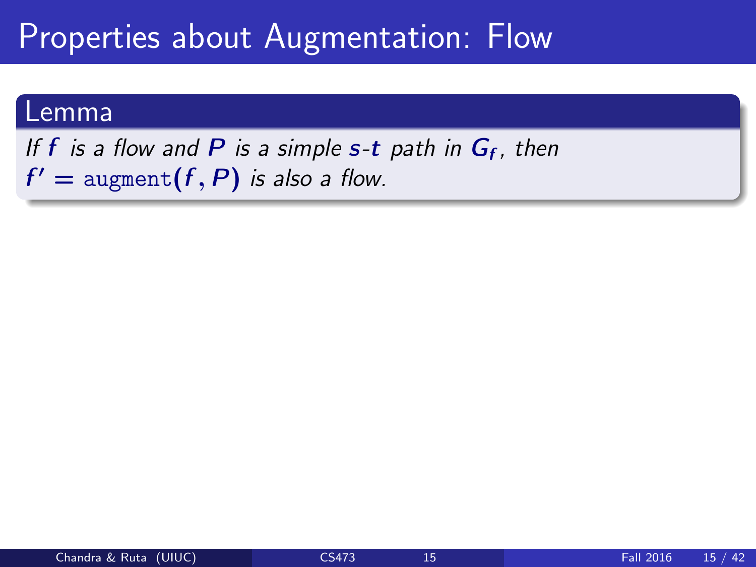#### Lemma

If  $f$  is a flow and  $P$  is a simple  $s$ -t path in  $G_f$ , then  $f' = \text{augment}(f, P)$  is also a flow.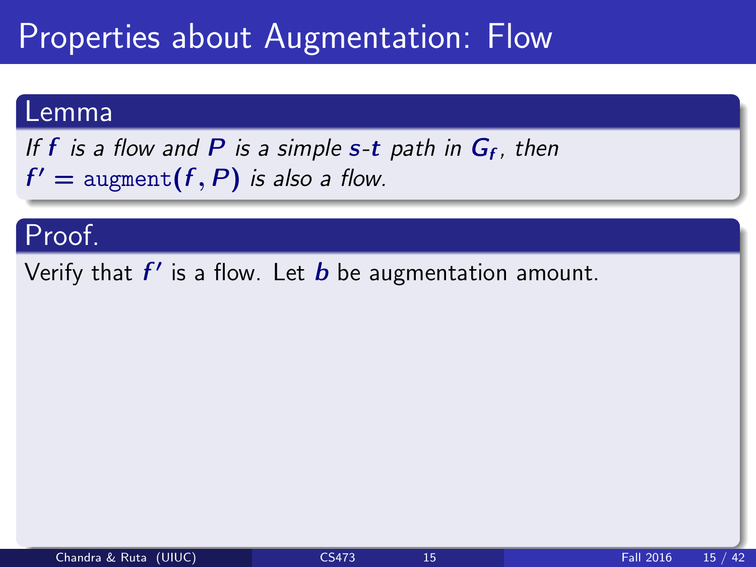#### Lemma

If  $f$  is a flow and  $P$  is a simple  $s$ -t path in  $G_f$ , then  $f' = \text{augment}(f, P)$  is also a flow.

#### Proof.

Verify that  $f'$  is a flow. Let  $b$  be augmentation amount.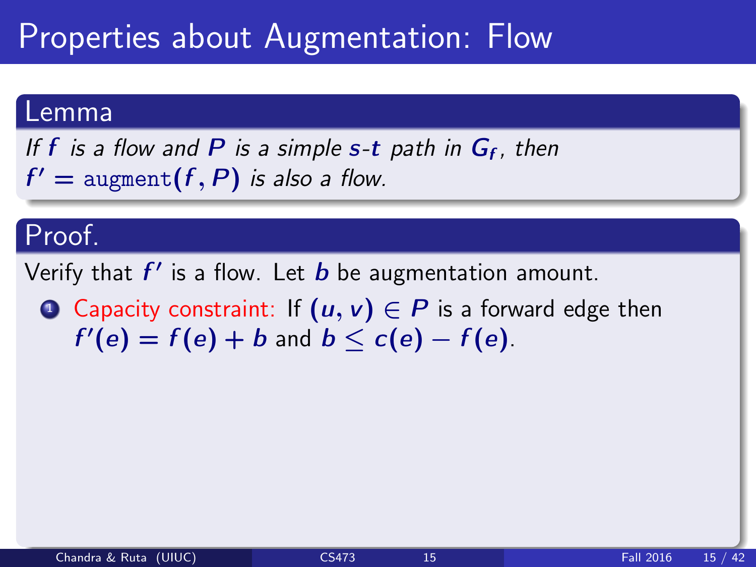#### Lemma

If  $f$  is a flow and  $P$  is a simple  $s$ -t path in  $G_f$ , then  $f' = \text{augment}(f, P)$  is also a flow.

#### Proof.

Verify that  $f'$  is a flow. Let  $b$  be augmentation amount.

**1** Capacity constraint: If  $(u, v) \in P$  is a forward edge then  $f'(e) = f(e) + b$  and  $b \leq c(e) - f(e)$ .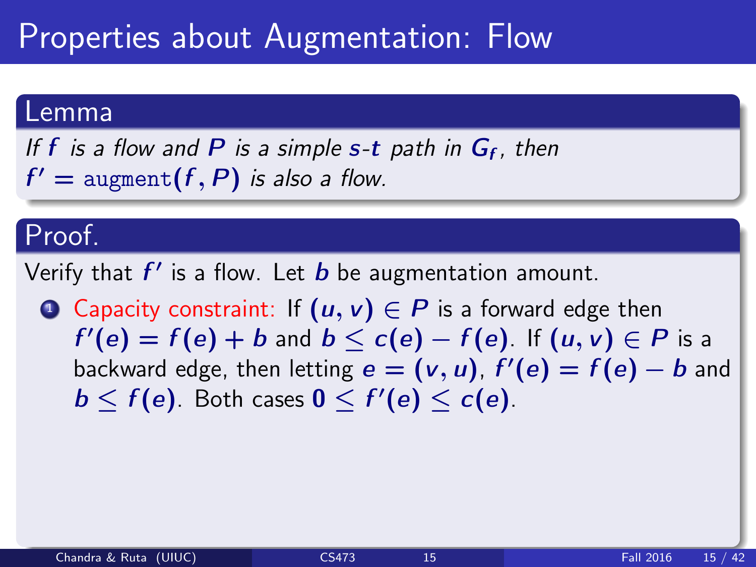#### Lemma

If  $f$  is a flow and  $P$  is a simple  $s$ -t path in  $G_f$ , then  $f' = \text{augment}(f, P)$  is also a flow.

#### Proof.

Verify that  $f'$  is a flow. Let  $b$  be augmentation amount.

**4** Capacity constraint: If  $(u, v) \in P$  is a forward edge then  $f'(e) = f(e) + b$  and  $b \leq c(e) - f(e)$ . If  $(u, v) \in P$  is a backward edge, then letting  $e = (v, u)$ ,  $f'(e) = f(e) - b$  and  $b \leq f(e)$ . Both cases  $0 \leq f'(e) \leq c(e)$ .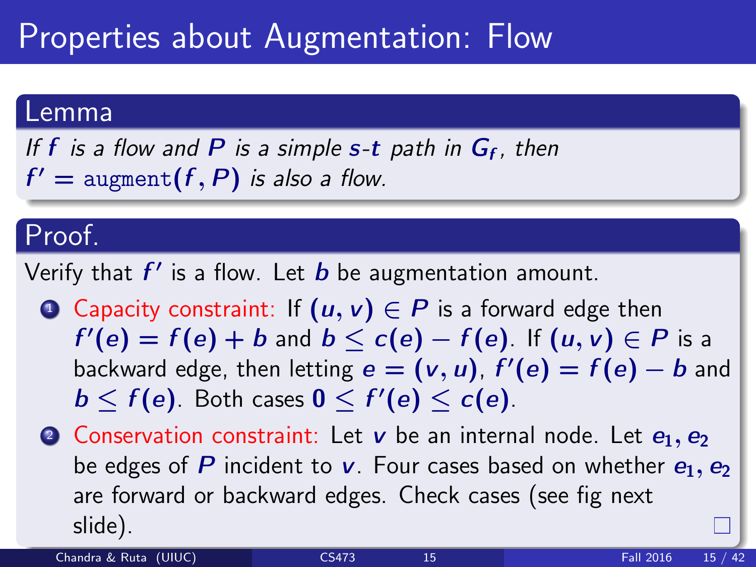#### Lemma

If  $f$  is a flow and  $P$  is a simple  $s$ -t path in  $G_f$ , then  $f' = \text{augment}(f, P)$  is also a flow.

#### Proof.

Verify that  $f'$  is a flow. Let  $b$  be augmentation amount.

- **1** Capacity constraint: If  $(u, v) \in P$  is a forward edge then  $f'(e) = f(e) + b$  and  $b \leq c(e) - f(e)$ . If  $(u, v) \in P$  is a backward edge, then letting  $e = (v, u)$ ,  $f'(e) = f(e) - b$  and  $b \leq f(e)$ . Both cases  $0 \leq f'(e) \leq c(e)$ .
- **2** Conservation constraint: Let  $v$  be an internal node. Let  $e_1, e_2$ be edges of P incident to v. Four cases based on whether  $e_1, e_2$ are forward or backward edges. Check cases (see fig next slide).

Chandra & Ruta (UIUC) [CS473](#page-0-0) 15 Fall 2016 15 / 42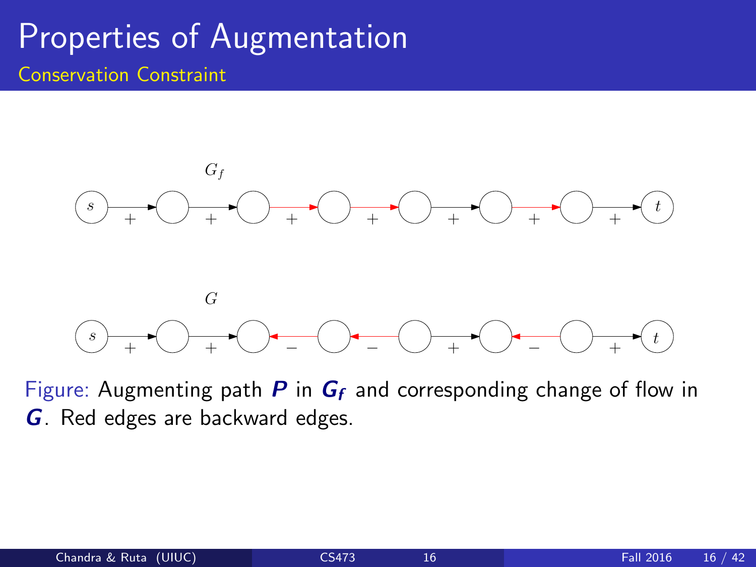#### Properties of Augmentation Conservation Constraint



Figure: Augmenting path  $P$  in  $G_f$  and corresponding change of flow in G. Red edges are backward edges.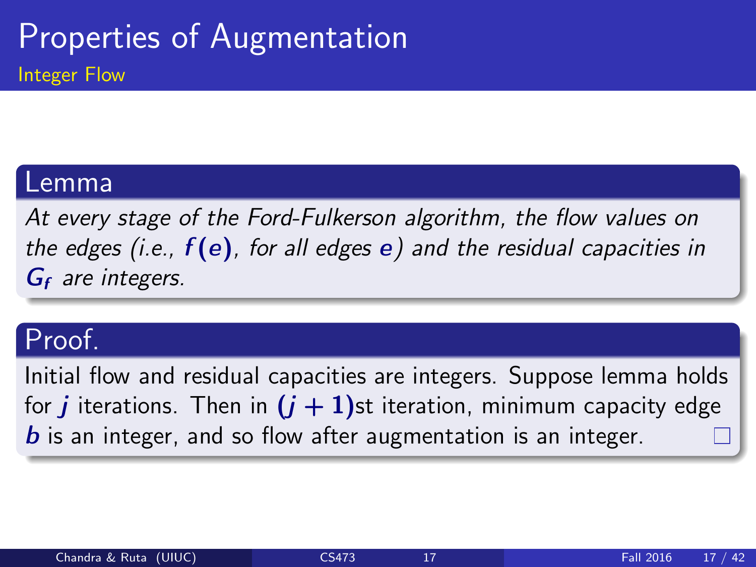#### Lemma

At every stage of the Ford-Fulkerson algorithm, the flow values on the edges (i.e.,  $f(e)$ , for all edges e) and the residual capacities in  $G_f$  are integers.

#### Proof.

Initial flow and residual capacities are integers. Suppose lemma holds for *j* iterations. Then in  $(j + 1)$ st iteration, minimum capacity edge  **is an integer, and so flow after augmentation is an integer.**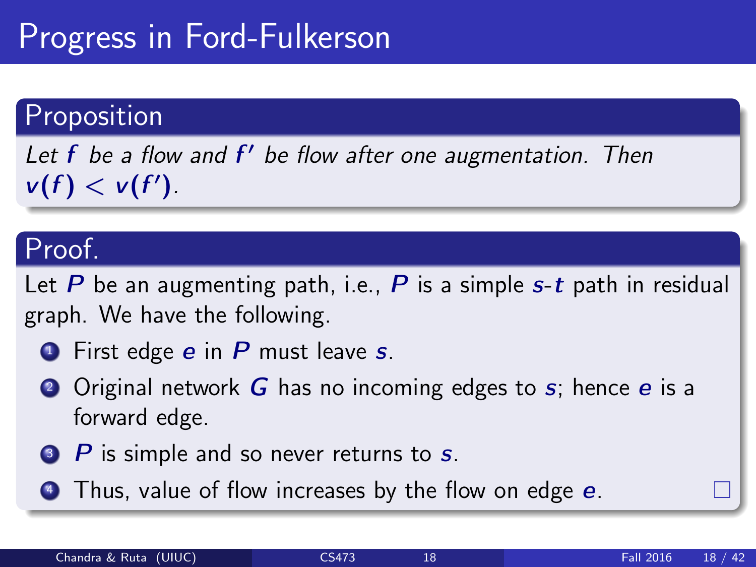# Progress in Ford-Fulkerson

#### Proposition

Let  $f$  be a flow and  $f'$  be flow after one augmentation. Then  $v(f) < v(f')$ .

#### Proof.

Let P be an augmenting path, i.e., P is a simple  $s-t$  path in residual graph. We have the following.

- $\bullet$  First edge e in P must leave s.
- **2** Original network  $\boldsymbol{G}$  has no incoming edges to  $\boldsymbol{s}$ ; hence  $\boldsymbol{e}$  is a forward edge.
- $\bullet$  P is simple and so never returns to  $s$ .
- **Thus, value of flow increases by the flow on edge e.**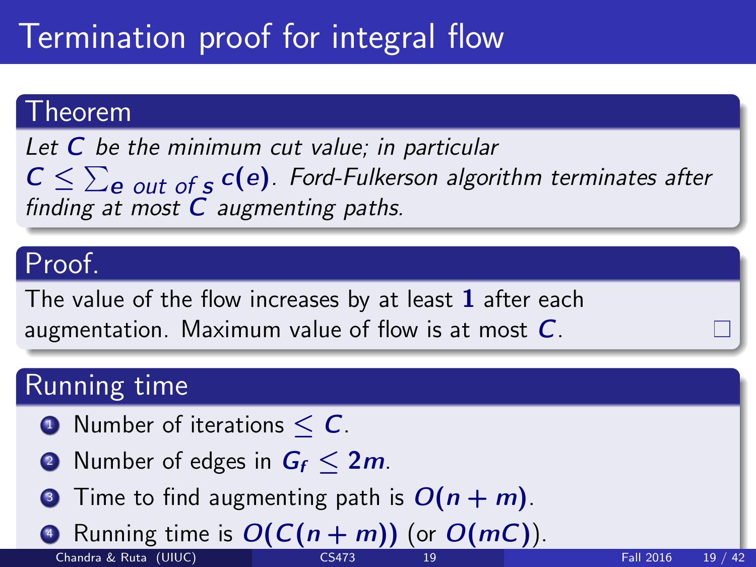# Termination proof for integral flow

#### Theorem

Let  $C$  be the minimum cut value; in particular  $C \leq \sum_{e}$  out of  $s$  C(e). Ford-Fulkerson algorithm terminates after finding at most  $C$  augmenting paths.

#### Proof.

The value of the flow increases by at least 1 after each augmentation. Maximum value of flow is at most  $C$ .

#### Running time

- $\bullet$  Number of iterations  $\lt C$ .
- **2** Number of edges in  $G_f < 2m$ .
- **3** Time to find augmenting path is  $O(n + m)$ .

Running time is  $O(C(n + m))$  (or  $O(mC)$ ). Chandra & Ruta (UIUC) [CS473](#page-0-0) 19 Fall 2016 19 / 42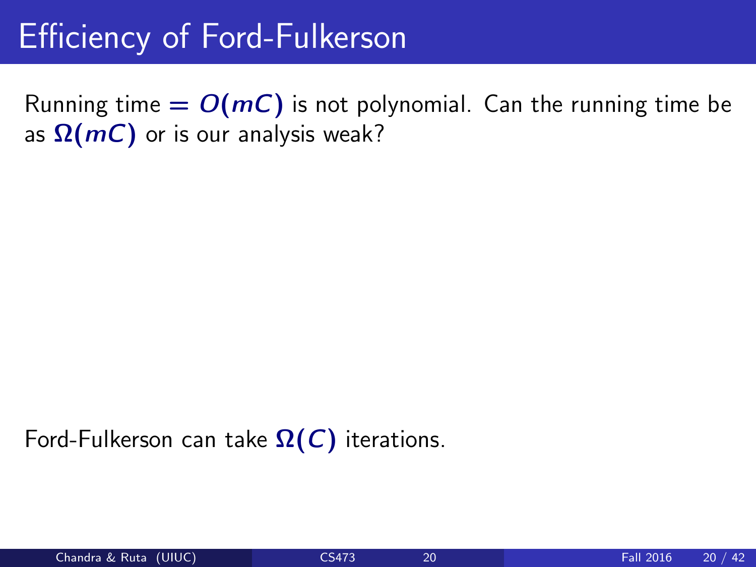Running time  $= O(mC)$  is not polynomial. Can the running time be as  $\Omega(mC)$  or is our analysis weak?

Ford-Fulkerson can take  $\Omega(C)$  iterations.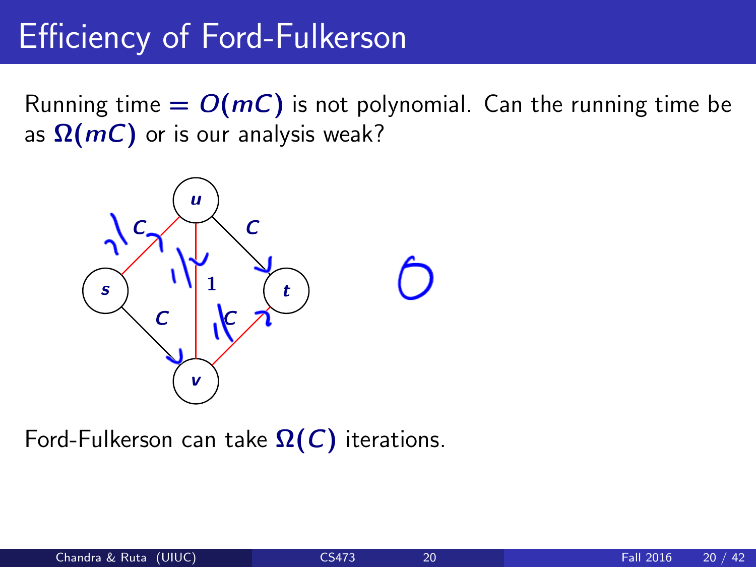Running time  $= O(mC)$  is not polynomial. Can the running time be as  $\Omega(mC)$  or is our analysis weak?



Ford-Fulkerson can take  $\Omega(C)$  iterations.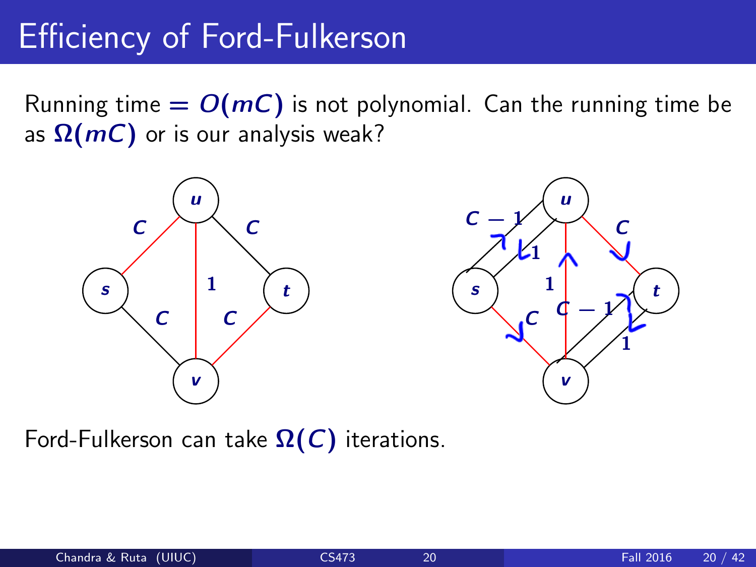Running time  $= O(mC)$  is not polynomial. Can the running time be as  $\Omega(mC)$  or is our analysis weak?





Ford-Fulkerson can take  $\Omega(C)$  iterations.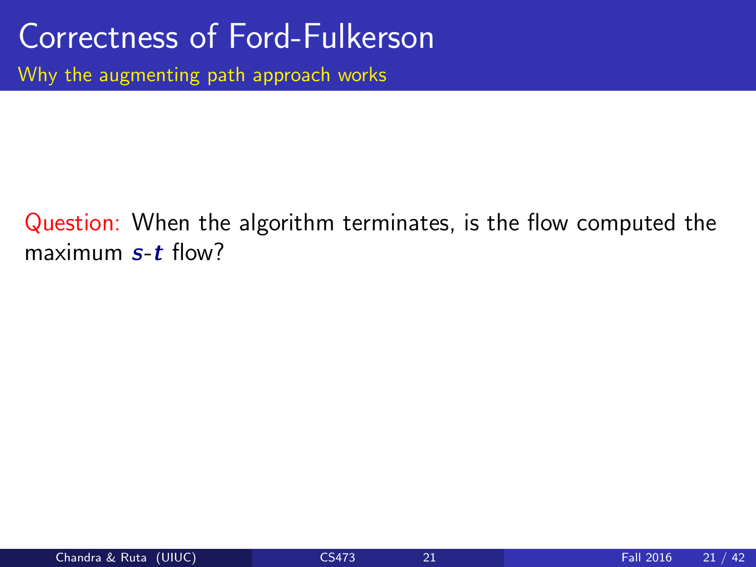Why the augmenting path approach works

#### Question: When the algorithm terminates, is the flow computed the maximum  $s$ - $t$  flow?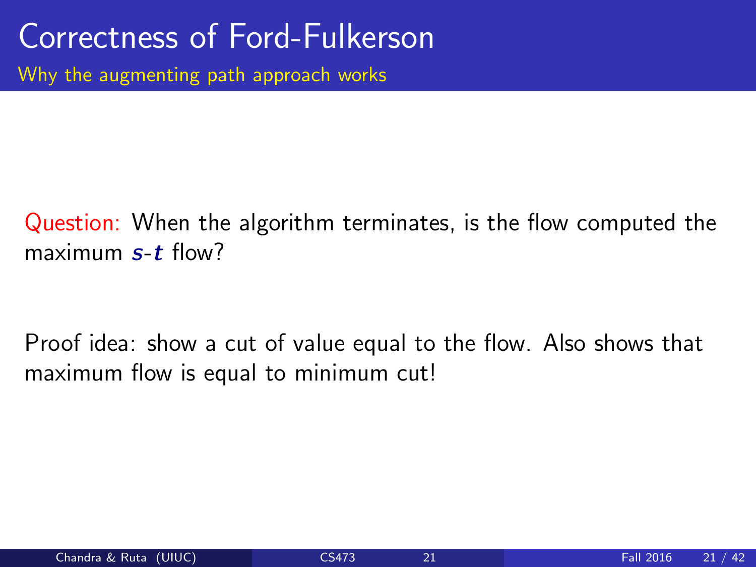#### Question: When the algorithm terminates, is the flow computed the maximum  $s$ - $t$  flow?

Proof idea: show a cut of value equal to the flow. Also shows that maximum flow is equal to minimum cut!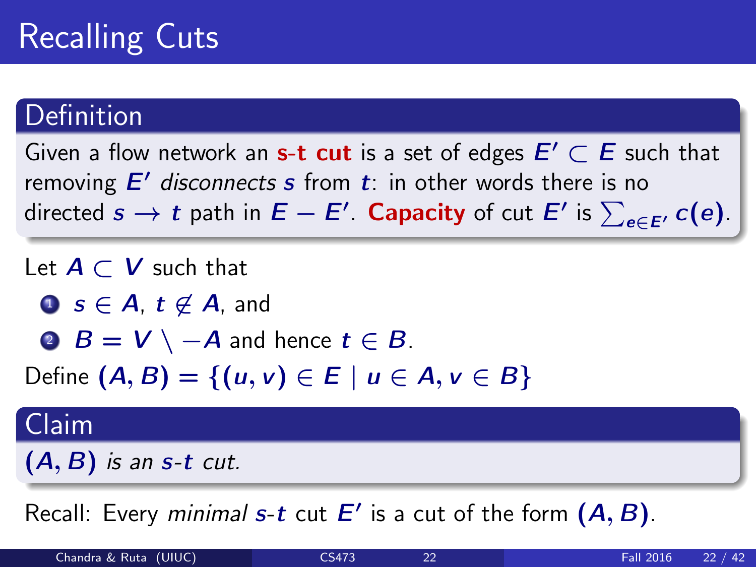## Recalling Cuts

#### Definition

Given a flow network an s-t cut is a set of edges  $E' \subset E$  such that removing  $E'$  disconnects s from  $t$ : in other words there is no directed  $s \to t$  path in  $E - E'$ . Capacity of cut  $E'$  is  $\sum_{e \in E'} c(e)$ .

Let  $A \subset V$  such that

**1** s ∈ A, t  $\notin$  A, and

**2**  $B = V \setminus -A$  and hence  $t \in B$ .

Define  $(A, B) = \{(u, v) \in E \mid u \in A, v \in B\}$ 

#### Claim

 $(A, B)$  is an s-t cut.

Recall: Every minimal s-t cut  $E'$  is a cut of the form  $(A, B)$ .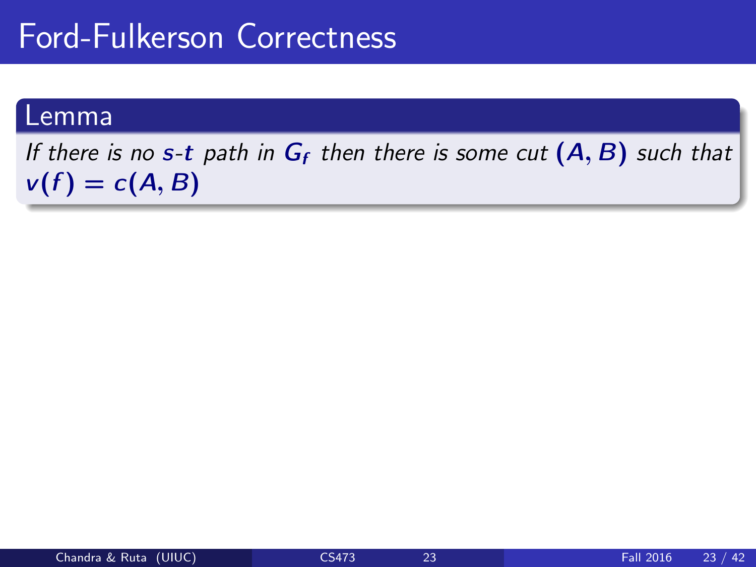#### Lemma

If there is no s-t path in  $G_f$  then there is some cut  $(A, B)$  such that  $v(f) = c(A, B)$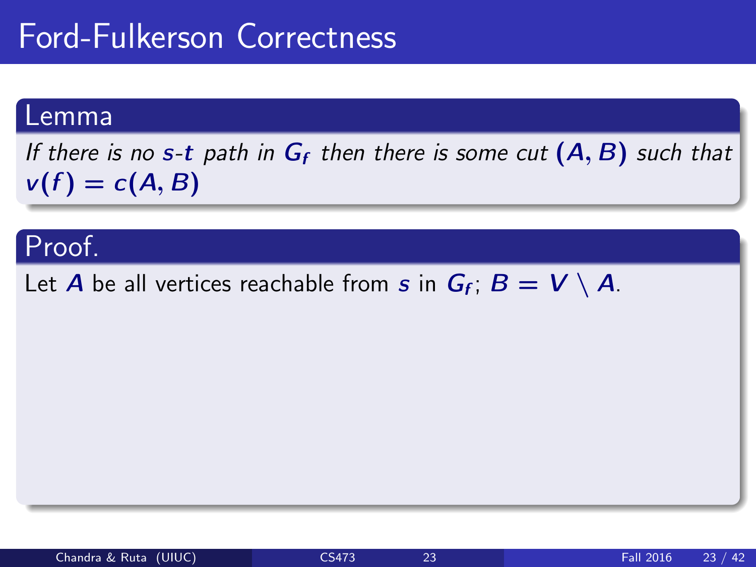#### Lemma

If there is no s-t path in  $G_f$  then there is some cut  $(A, B)$  such that  $v(f) = c(A, B)$ 

#### Proof.

Let  $A$  be all vertices reachable from  $s$  in  $G_f$ ;  $B = V \setminus A$ .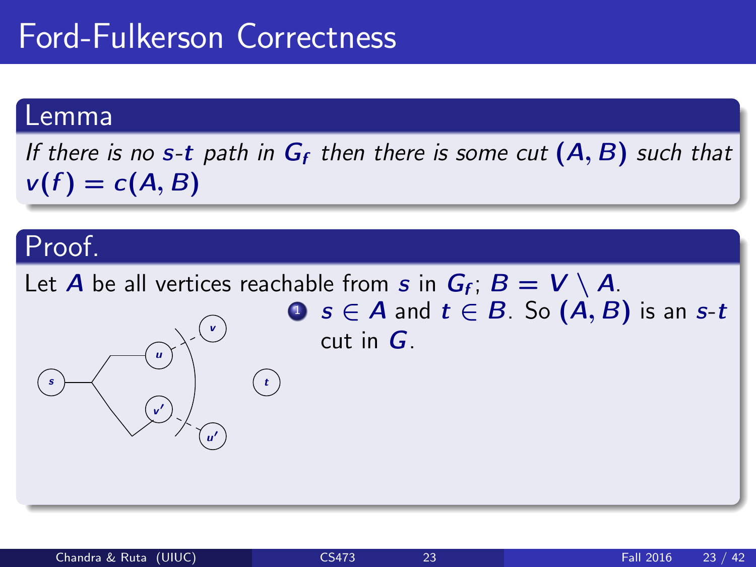#### Lemma

If there is no s-t path in  $G_f$  then there is some cut  $(A, B)$  such that  $v(f) = c(A, B)$ 

### Proof.

Let  $A$  be all vertices reachable from  $s$  in  $G_f$ ;  $B = V \setminus A$ . s u v  $\overline{\phantom{a}}$ u 0 v  $(\cdot)$ **0**  $s \in A$  and  $t \in B$ . So  $(A, B)$  is an  $s$ -t cut in  $G$ .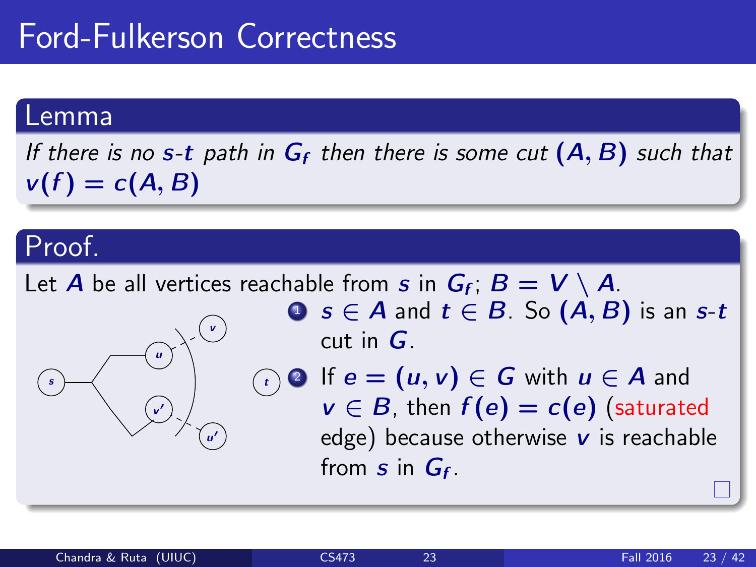#### Lemma

If there is no s-t path in  $G_f$  then there is some cut  $(A, B)$  such that  $v(f) = c(A, B)$ 

### Proof.

Let  $A$  be all vertices reachable from  $s$  in  $G_f$ ;  $B = V \setminus A$ . s u v  $\overline{\phantom{a}}$ u 0 v  $\left( \frac{t}{t} \right)$ **1**  $s \in A$  and  $t \in B$ . So  $(A, B)$  is an  $s$ -t cut in  $G$ . If  $e = (u, v) \in G$  with  $u \in A$  and  $v \in B$ , then  $f(e) = c(e)$  (saturated edge) because otherwise  $\boldsymbol{v}$  is reachable from  $s$  in  $G_f$ .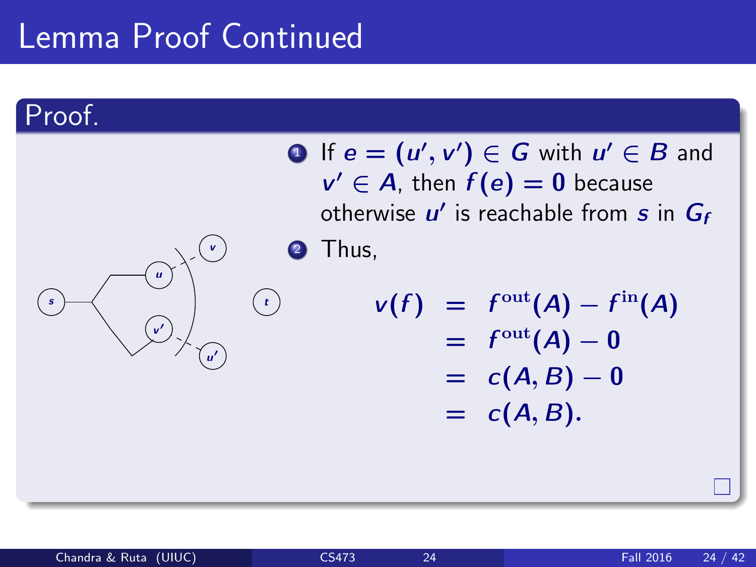### Lemma Proof Continued

u

v  $\overline{\phantom{a}}$ 

### Proof.

s

|   |         | <b>O</b> If $e = (u', v') \in G$ with $u' \in B$ and<br>$v' \in A$ , then $f(e) = 0$ because<br>otherwise $u'$ is reachable from s in $G_f$ |
|---|---------|---------------------------------------------------------------------------------------------------------------------------------------------|
|   | 2 Thus, |                                                                                                                                             |
| t |         | $v(f) = f^{\text{out}}(A) - f^{\text{in}}(A)$<br>$= f^{\text{out}}(A) - 0$<br>$= c(A, B) - 0$<br>$= c(A, B).$                               |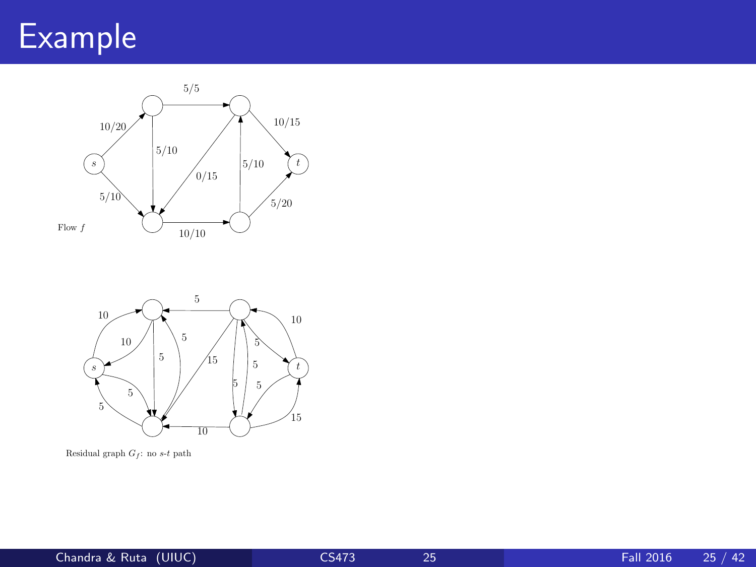# Example





Residual graph  $G_f$ : no s-t path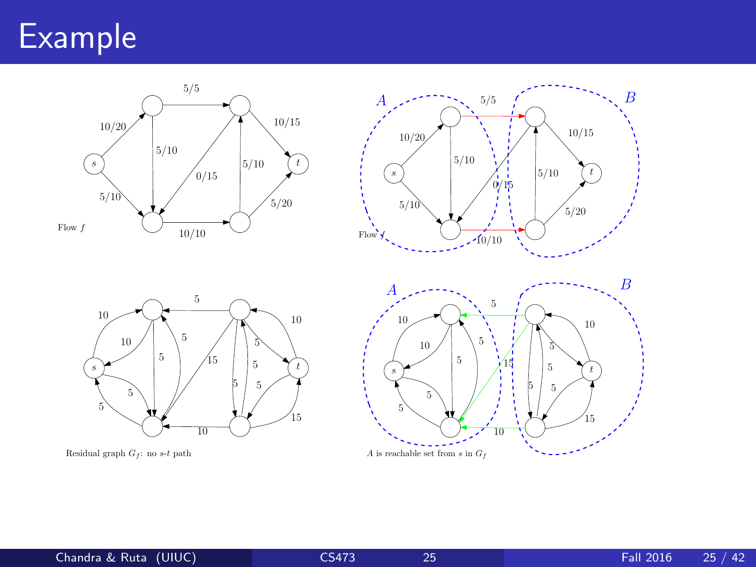### Example







Residual graph  $G_f$ : no s-t path

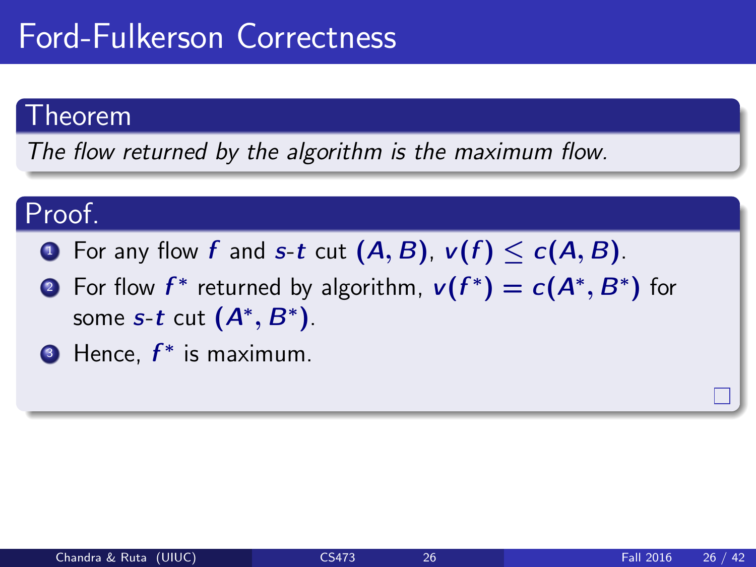#### Theorem

The flow returned by the algorithm is the maximum flow.

### Proof.

- **1** For any flow f and s-t cut  $(A, B)$ ,  $v(f) \le c(A, B)$ .
- ? For flow  $f^*$  returned by algorithm,  $v(f^*) = c(A^*, B^*)$  for some  $s$ -t cut  $(A^*,B^*)$ .
- **B** Hence,  $f^*$  is maximum.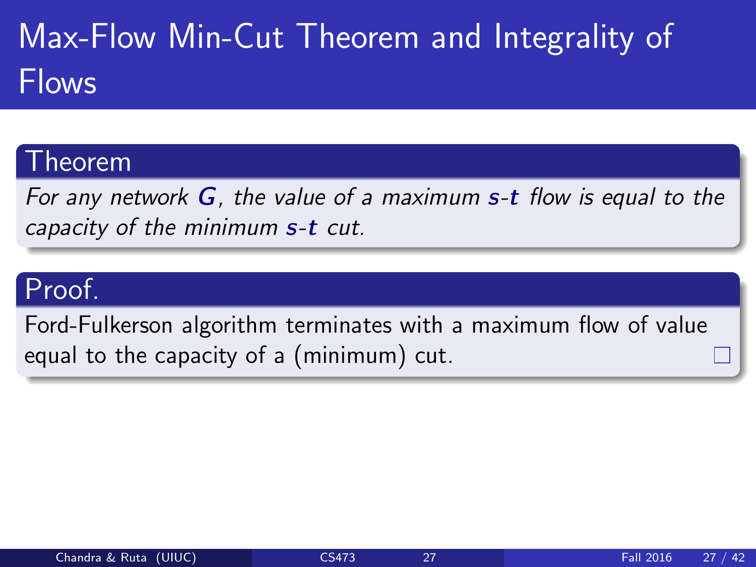# Max-Flow Min-Cut Theorem and Integrality of Flows

#### <sup>-</sup>heorem

For any network  $G$ , the value of a maximum  $s$ -t flow is equal to the capacity of the minimum s-t cut.

### Proof.

Ford-Fulkerson algorithm terminates with a maximum flow of value equal to the capacity of a (minimum) cut.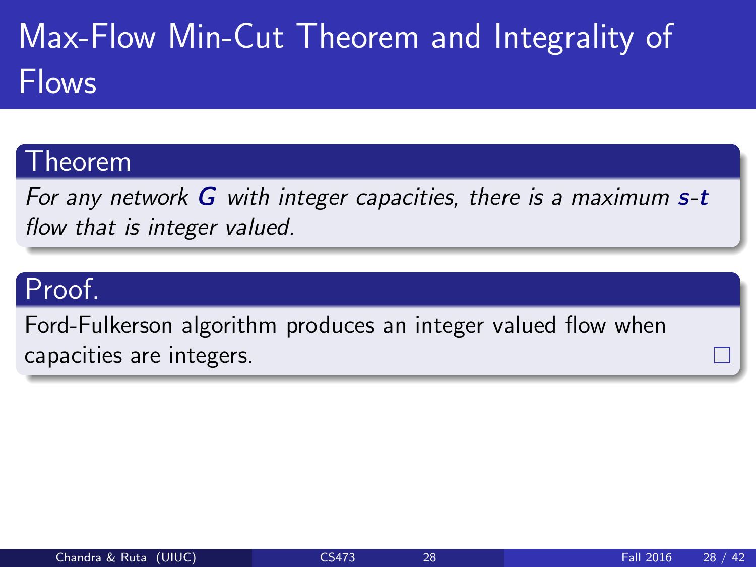# Max-Flow Min-Cut Theorem and Integrality of Flows

#### **heorem**

For any network  $G$  with integer capacities, there is a maximum  $s-t$ flow that is integer valued.

### Proof.

Ford-Fulkerson algorithm produces an integer valued flow when capacities are integers.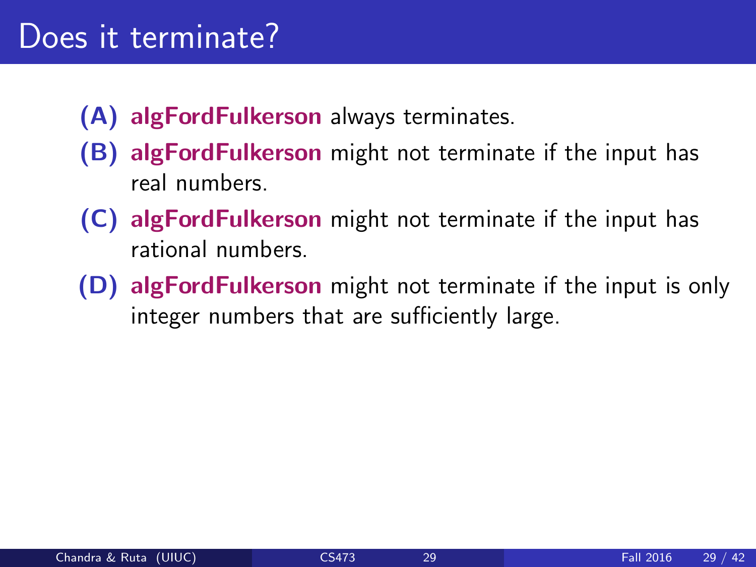- (A) algFordFulkerson always terminates.
- (B) algFordFulkerson might not terminate if the input has real numbers.
- (C) algFordFulkerson might not terminate if the input has rational numbers.
- (D) algFordFulkerson might not terminate if the input is only integer numbers that are sufficiently large.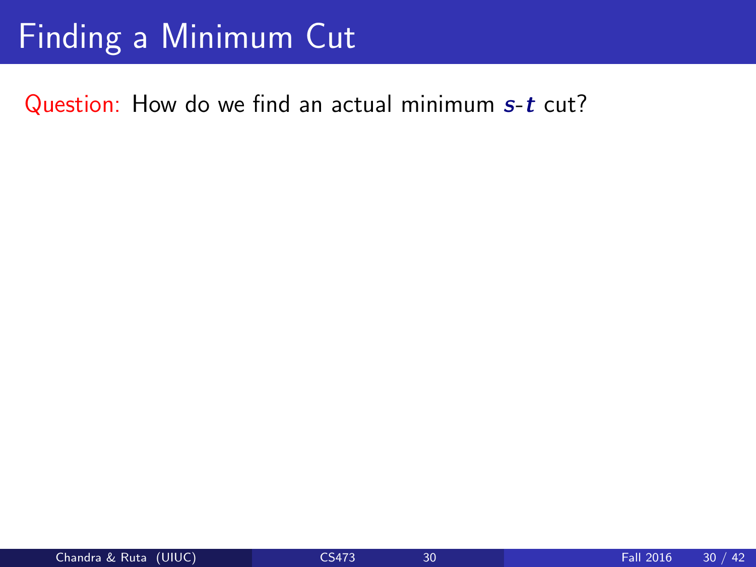### Finding a Minimum Cut

Question: How do we find an actual minimum s-t cut?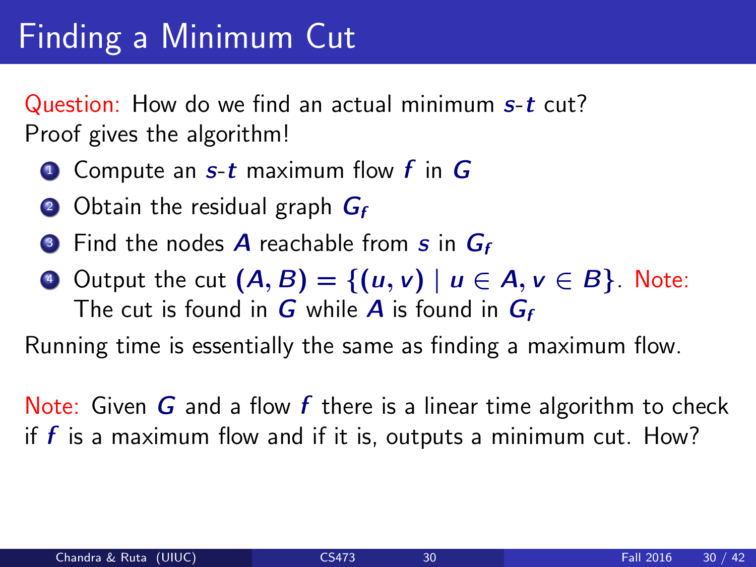# Finding a Minimum Cut

Question: How do we find an actual minimum s-t cut? Proof gives the algorithm!

- $\bullet$  Compute an  $s$ -t maximum flow f in  $G$
- 2 Obtain the residual graph  $G_f$
- **3** Find the nodes A reachable from  $s$  in  $G_f$
- $\bullet$  Output the cut  $(A, B) = \{(u, v) \mid u \in A, v \in B\}$ . Note: The cut is found in  $G$  while  $A$  is found in  $G_f$

Running time is essentially the same as finding a maximum flow.

Note: Given  $G$  and a flow  $f$  there is a linear time algorithm to check if  $f$  is a maximum flow and if it is, outputs a minimum cut. How?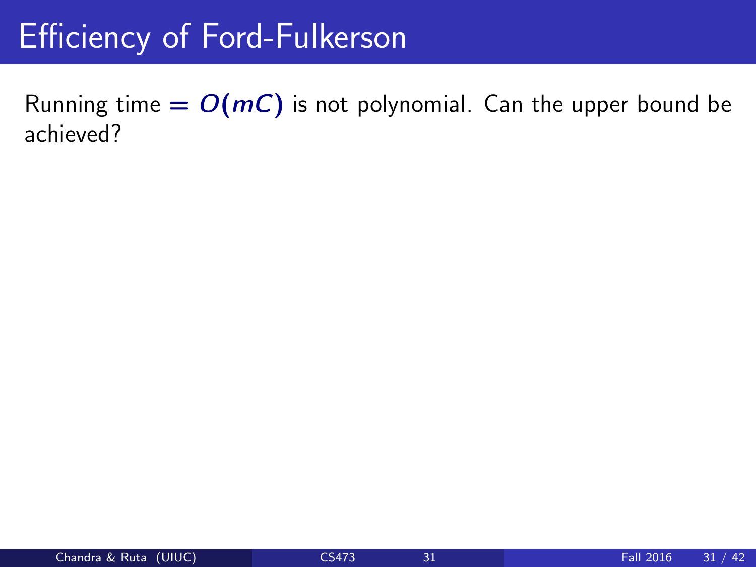Running time  $= O(mC)$  is not polynomial. Can the upper bound be achieved?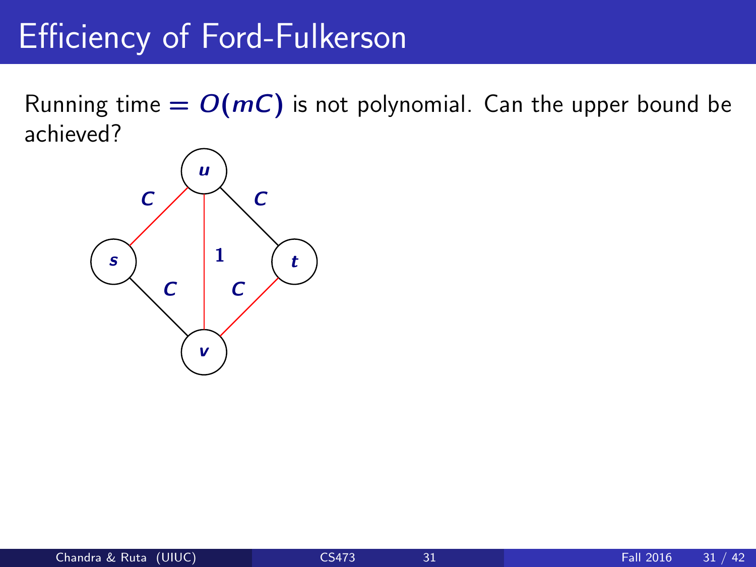Running time  $= O(mC)$  is not polynomial. Can the upper bound be achieved?

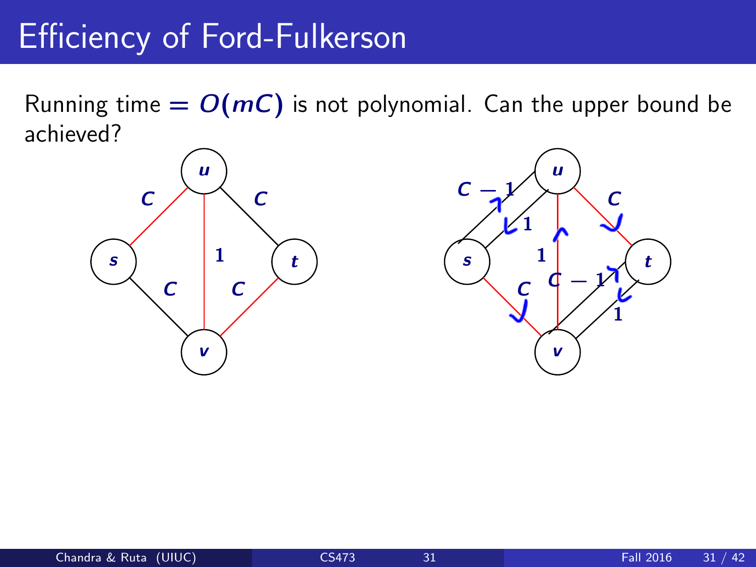Running time  $= O(mC)$  is not polynomial. Can the upper bound be achieved?



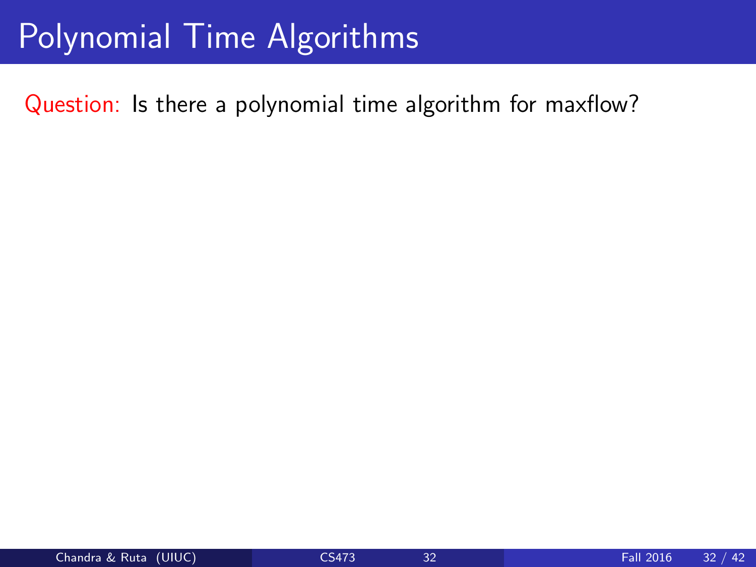### Polynomial Time Algorithms

Question: Is there a polynomial time algorithm for maxflow?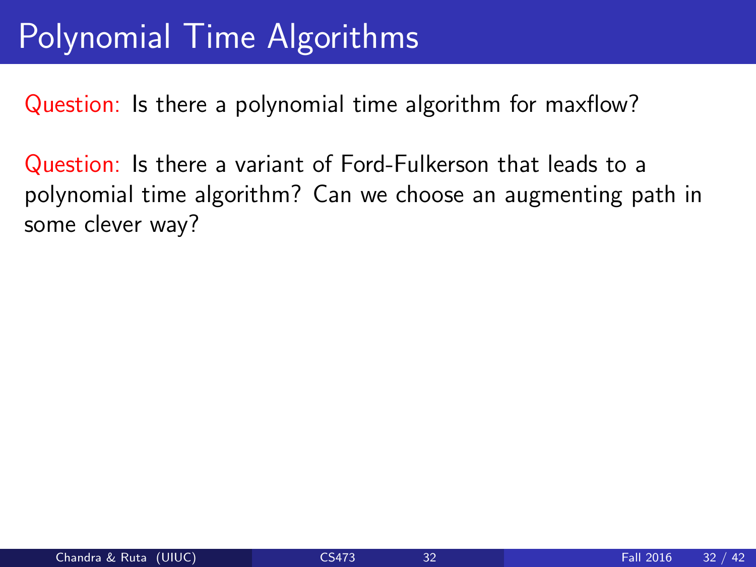### Polynomial Time Algorithms

Question: Is there a polynomial time algorithm for maxflow?

Question: Is there a variant of Ford-Fulkerson that leads to a polynomial time algorithm? Can we choose an augmenting path in some clever way?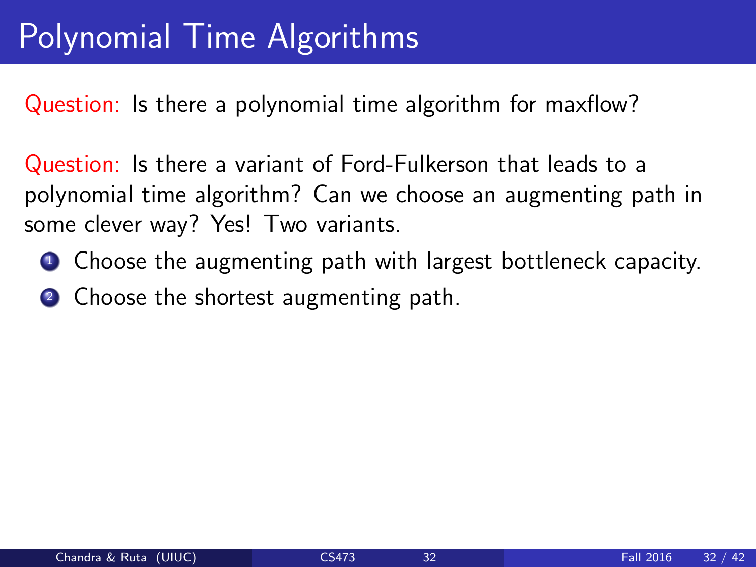Question: Is there a polynomial time algorithm for maxflow?

Question: Is there a variant of Ford-Fulkerson that leads to a polynomial time algorithm? Can we choose an augmenting path in some clever way? Yes! Two variants.

- **1** Choose the augmenting path with largest bottleneck capacity.
- 2 Choose the shortest augmenting path.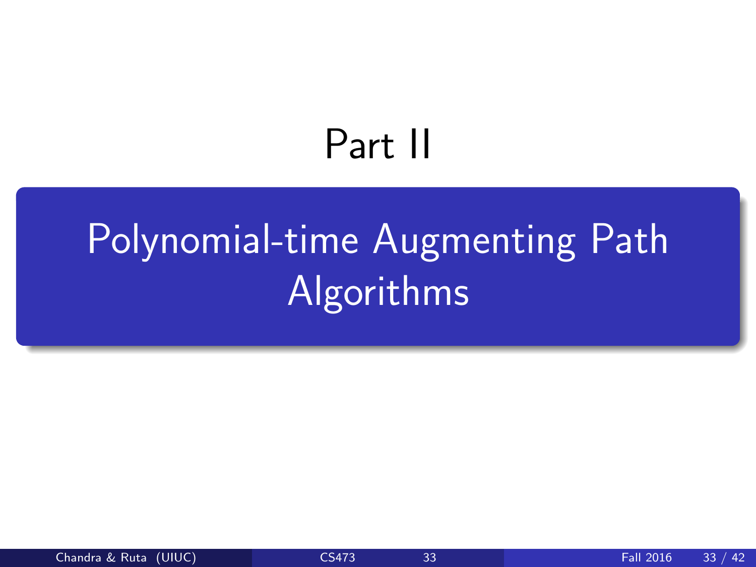# Part II

# <span id="page-61-0"></span>[Polynomial-time Augmenting Path](#page-61-0) [Algorithms](#page-61-0)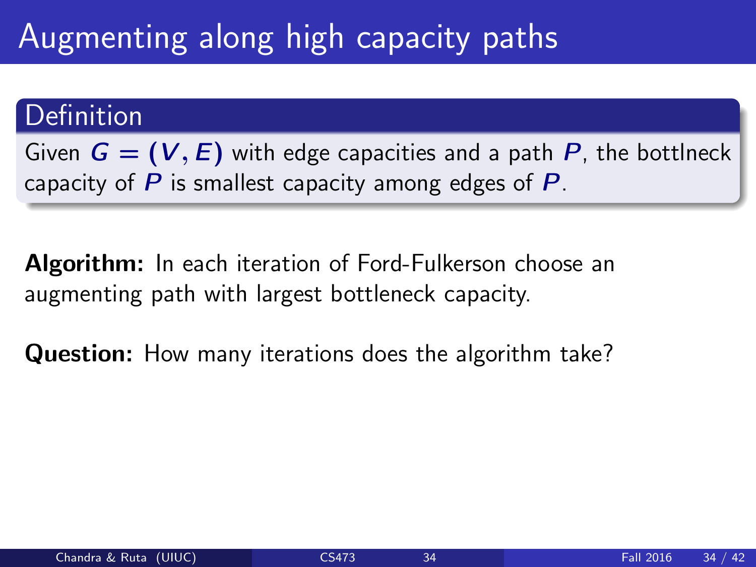## Augmenting along high capacity paths

#### Definition

Given  $G = (V, E)$  with edge capacities and a path P, the bottlneck capacity of  $P$  is smallest capacity among edges of  $P$ .

Algorithm: In each iteration of Ford-Fulkerson choose an augmenting path with largest bottleneck capacity.

Question: How many iterations does the algorithm take?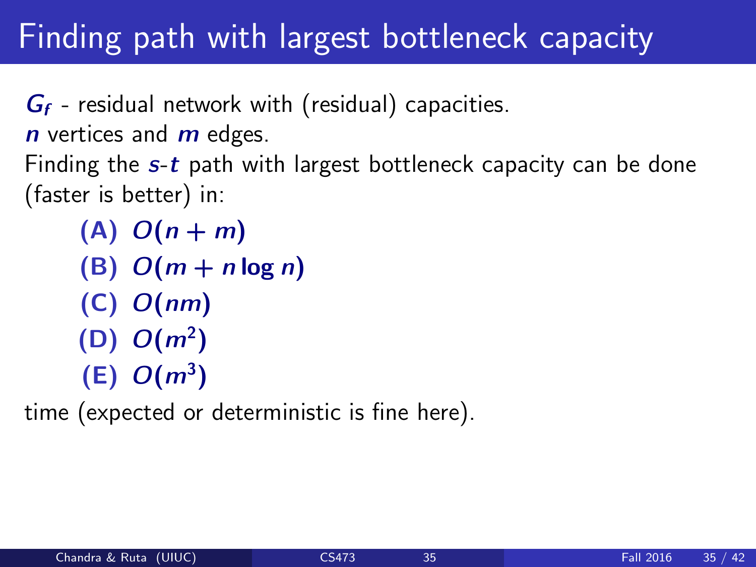### Finding path with largest bottleneck capacity

 $G_f$  - residual network with (residual) capacities.  $n$  vertices and  $m$  edges. Finding the  $s$ -t path with largest bottleneck capacity can be done (faster is better) in:

 $(A)$   $O(n+m)$  $(B)$   $O(m + n \log n)$ (C) O(nm)  $(D)$   $O(m^2)$  $(E)$   $O(m^3)$ 

time (expected or deterministic is fine here).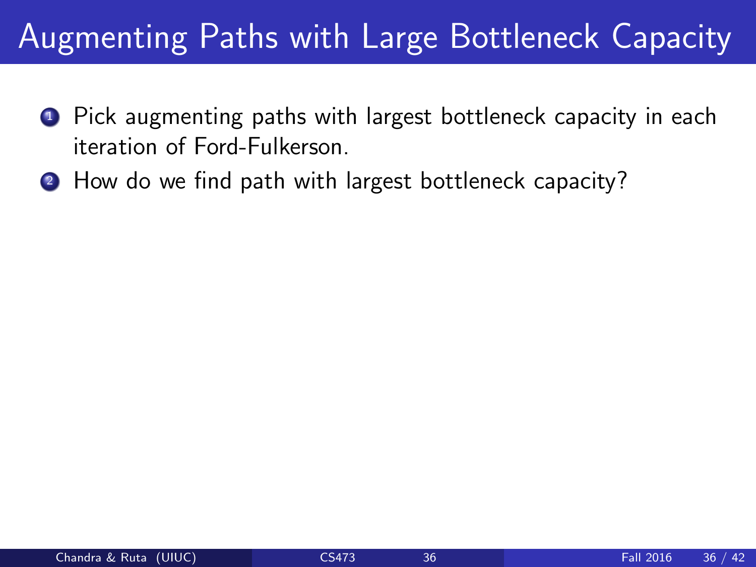## Augmenting Paths with Large Bottleneck Capacity

- **1** Pick augmenting paths with largest bottleneck capacity in each iteration of Ford-Fulkerson.
- 2 How do we find path with largest bottleneck capacity?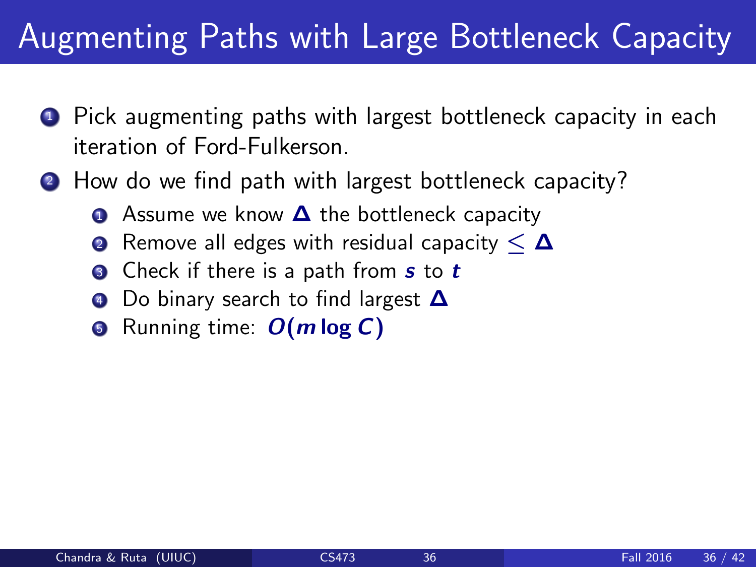## Augmenting Paths with Large Bottleneck Capacity

- **1** Pick augmenting paths with largest bottleneck capacity in each iteration of Ford-Fulkerson.
- 2 How do we find path with largest bottleneck capacity?
	- **■** Assume we know **△** the bottleneck capacity
	- **2** Remove all edges with residual capacity  $\leq \Delta$
	- **3** Check if there is a path from s to t
	- Do binary search to find largest **△**
	- **Example 1** Running time:  $O(m \log C)$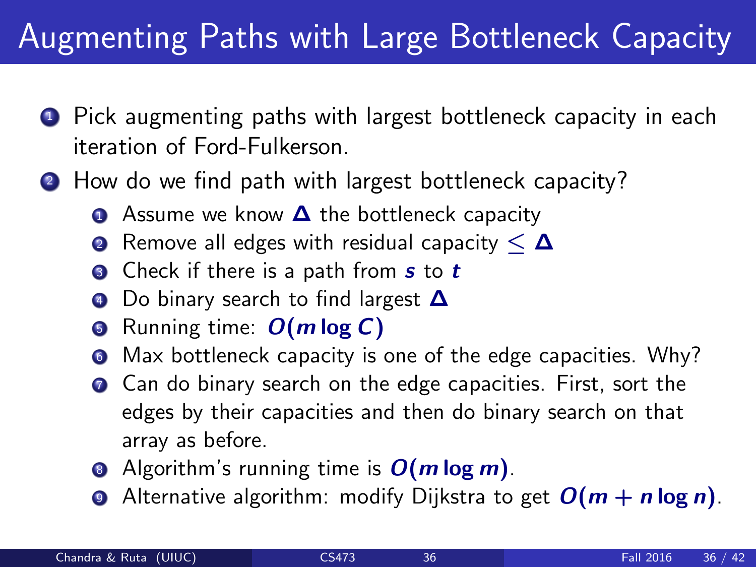## Augmenting Paths with Large Bottleneck Capacity

- **1** Pick augmenting paths with largest bottleneck capacity in each iteration of Ford-Fulkerson.
- 2 How do we find path with largest bottleneck capacity?
	- **■** Assume we know **△** the bottleneck capacity
	- **2** Remove all edges with residual capacity  $\leq \Delta$
	- **3** Check if there is a path from s to t
	- 4 Do binary search to find largest **△**
	- **6** Running time:  $O(m \log C)$
	- **6** Max bottleneck capacity is one of the edge capacities. Why?
	- **2** Can do binary search on the edge capacities. First, sort the edges by their capacities and then do binary search on that array as before.
	- Algorithm's running time is  $O(m \log m)$ .
	- **•** Alternative algorithm: modify Dijkstra to get  $O(m + n \log n)$ .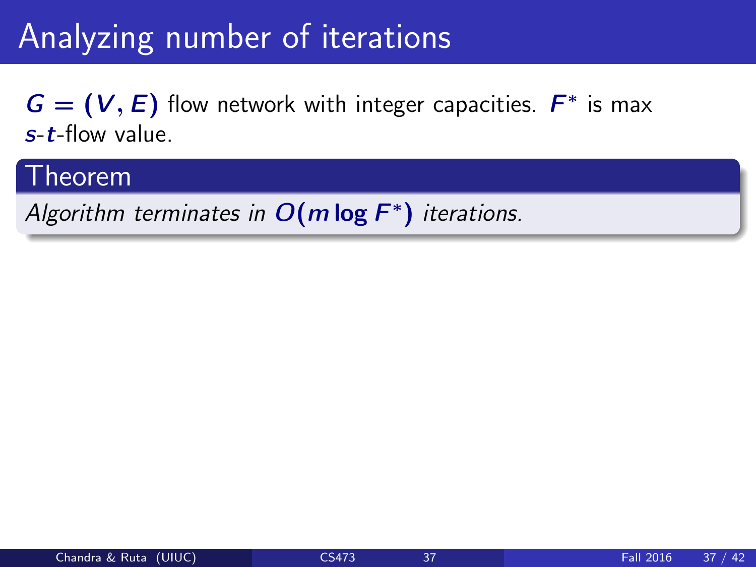$G = (V, E)$  flow network with integer capacities.  $F^*$  is max s-t-flow value.

#### Theorem

Algorithm terminates in  $O(m \log F^*)$  iterations.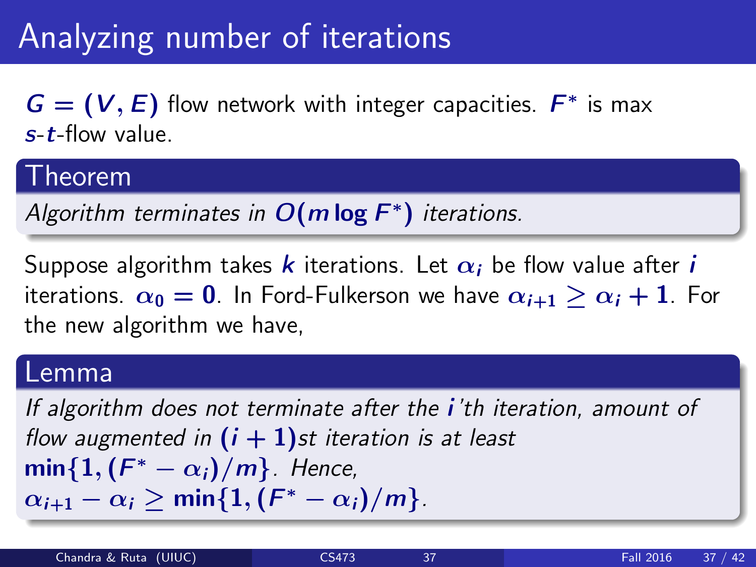$G = (V, E)$  flow network with integer capacities.  $F^*$  is max s-t-flow value.

#### Theorem

Algorithm terminates in  $O(m \log F^*)$  iterations.

Suppose algorithm takes k iterations. Let  $\alpha_i$  be flow value after *i* iterations.  $\alpha_0 = 0$ . In Ford-Fulkerson we have  $\alpha_{i+1} > \alpha_i + 1$ . For the new algorithm we have,

#### Lemma

If algorithm does not terminate after the *i*'th iteration, amount of flow augmented in  $(i + 1)$ st iteration is at least  $\mathsf{min}\{1, (\bar{F}^*-\alpha_i)/m\}$ . Hence,  $\alpha_{i+1} - \alpha_i \geq \mathsf{min}\{1,(\mathsf{F}^* - \alpha_i)/m\}.$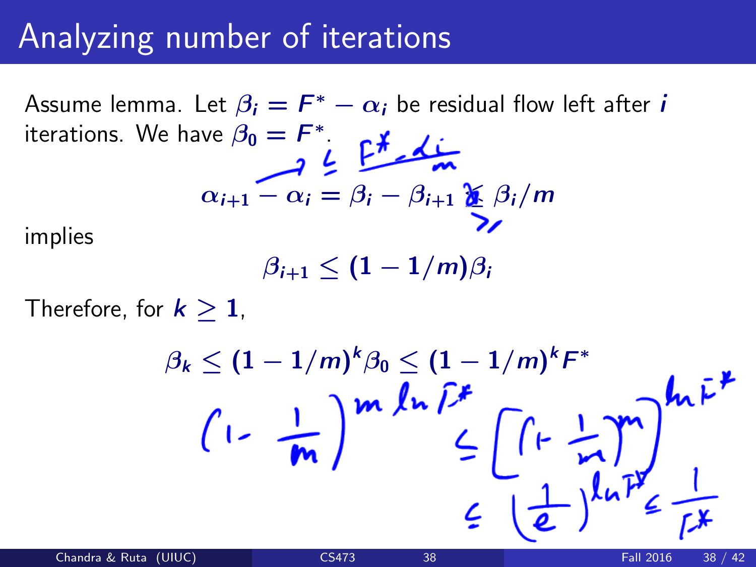Assume lemma. Let  $\beta_i = F^* - \alpha_i$  be residual flow left after  $i$ iterations. We have  $\beta_0 = F^*$ .

$$
\alpha_{i+1} - \alpha_i = \beta_i - \beta_{i+1} \sum_{\lambda}^{\infty} \beta_i / m
$$

implies

 $\beta_{i+1} < (1 - 1/m)\beta_i$ 

Therefore, for  $k > 1$ ,

$$
\beta_k \leq (1 - 1/m)^k \beta_0 \leq (1 - 1/m)^k F^*
$$
\n
$$
\left(1 - \frac{1}{m}\right)^m \ln \widehat{L}^k \leq \left[\left(1 - \frac{1}{m}\right)^m\right]^{k_0} \widehat{L}^k
$$
\n
$$
\leq \frac{1}{\left(\frac{1}{\epsilon}\right)^{k_0}} \frac{1}{\widehat{L}^k}
$$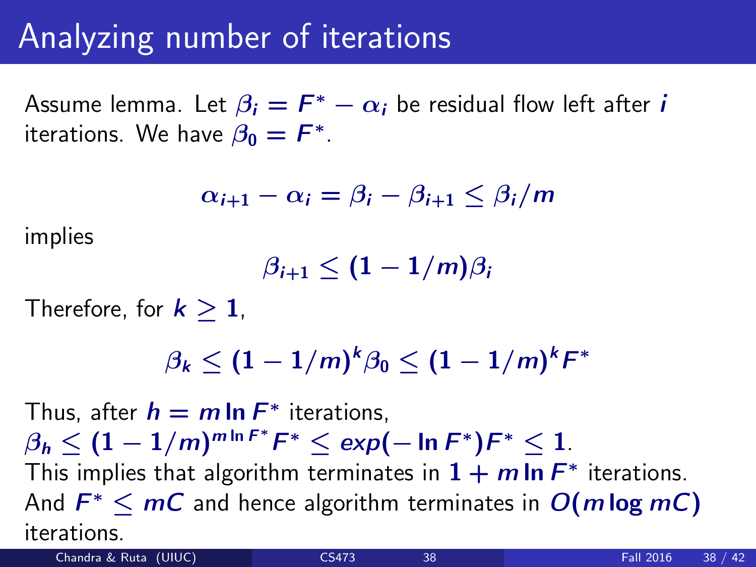Assume lemma. Let  $\beta_i = F^* - \alpha_i$  be residual flow left after  $i$ iterations. We have  $\beta_0 = F^*$ .

$$
\alpha_{i+1} - \alpha_i = \beta_i - \beta_{i+1} \leq \beta_i/m
$$

implies

 $\beta_{i+1} < (1 - 1/m)\beta_i$ 

Therefore, for  $k > 1$ ,

$$
\beta_k \leq (1-1/m)^k \beta_0 \leq (1-1/m)^k F^*
$$

Thus, after  $h = m \ln F^*$  iterations,  $\beta_h \leq (1-1/m)^{m\ln F^*}F^* \leq \exp(-\ln F^*)F^* \leq 1.$ This implies that algorithm terminates in  $1 + m \ln F^*$  iterations. And  $F^* \leq mC$  and hence algorithm terminates in  $O(m \log mC)$ iterations.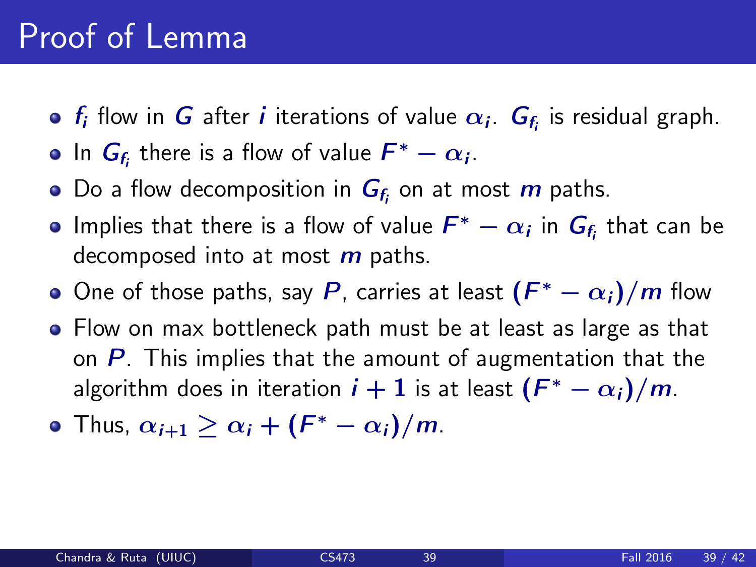### Proof of Lemma

- $f_i$  flow in  $G$  after  $i$  iterations of value  $\alpha_i$ .  $G_{f_i}$  is residual graph.
- In  $G_{f_i}$  there is a flow of value  $F^* \alpha_i$ .
- Do a flow decomposition in  $\boldsymbol{G}_{\!f_{\!i}}$  on at most  $\boldsymbol{m}$  paths.
- Implies that there is a flow of value  $\mathcal{F}^* \alpha_i$  in  $\mathcal{G}_{\mathit{f}_i}$  that can be decomposed into at most  *paths.*
- One of those paths, say  $P$ , carries at least  $(F^*-\alpha_i)/m$  flow
- Flow on max bottleneck path must be at least as large as that on  $P$ . This implies that the amount of augmentation that the algorithm does in iteration  $i+1$  is at least  $(F^*-\alpha_i)/m$ .
- Thus,  $\alpha_{i+1} \geq \alpha_i + (F^* \alpha_i)/m$ .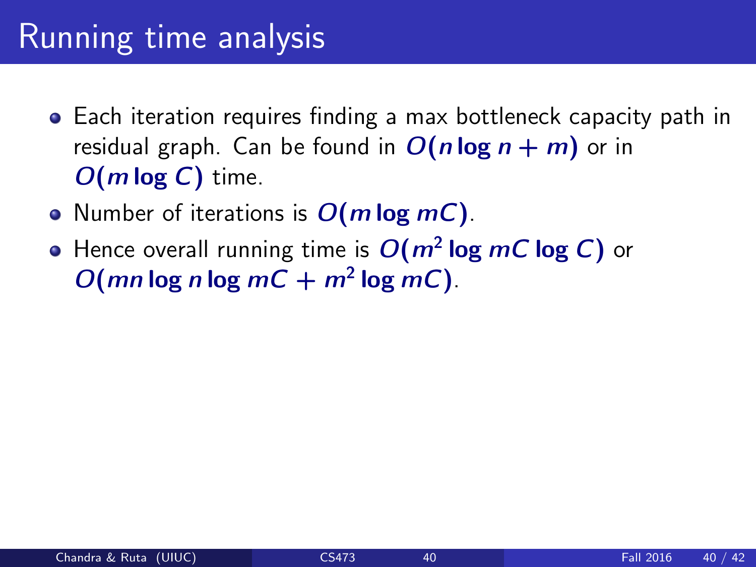### Running time analysis

- Each iteration requires finding a max bottleneck capacity path in residual graph. Can be found in  $O(n \log n + m)$  or in  $O(m \log C)$  time.
- Number of iterations is  $O(m \log mC)$ .
- Hence overall running time is  $O(m^2 \log m C \log C)$  or  $O(mn \log n \log mC + m^2 \log mC)$ .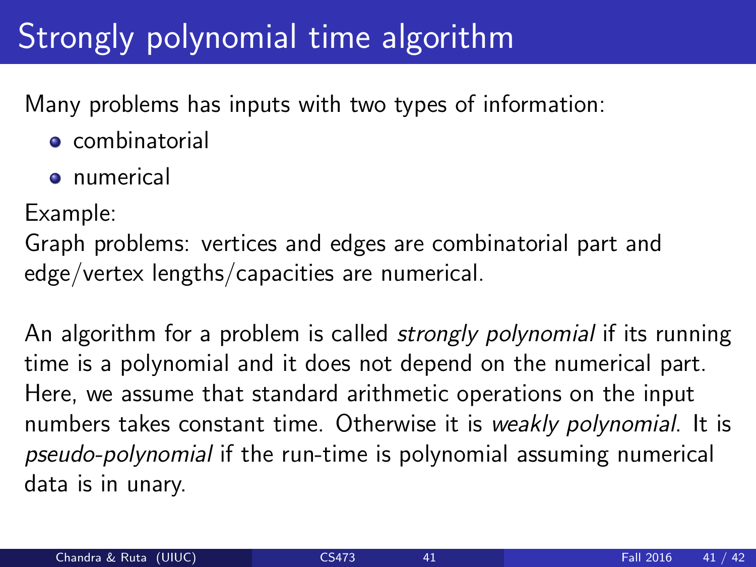# Strongly polynomial time algorithm

Many problems has inputs with two types of information:

- **e** combinatorial
- **o** numerical

Example:

Graph problems: vertices and edges are combinatorial part and edge/vertex lengths/capacities are numerical.

An algorithm for a problem is called *strongly polynomial* if its running time is a polynomial and it does not depend on the numerical part. Here, we assume that standard arithmetic operations on the input numbers takes constant time. Otherwise it is weakly polynomial. It is pseudo-polynomial if the run-time is polynomial assuming numerical data is in unary.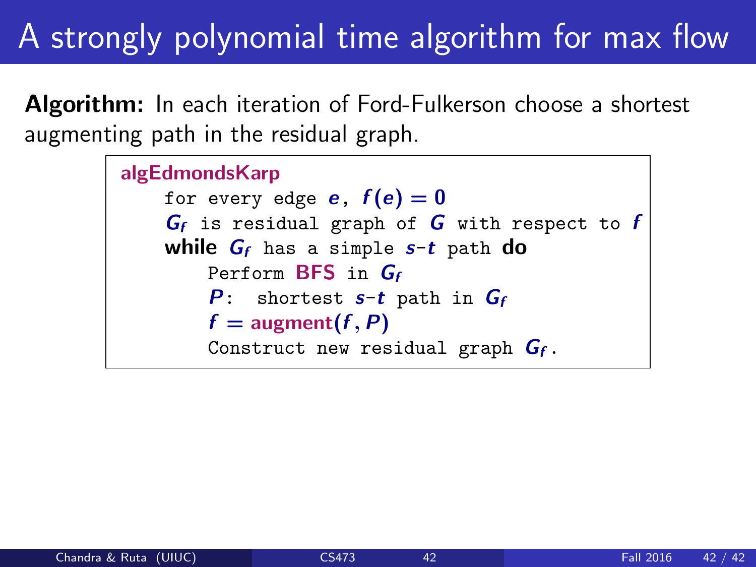# A strongly polynomial time algorithm for max flow

**Algorithm:** In each iteration of Ford-Fulkerson choose a shortest augmenting path in the residual graph.

```
algEdmondsKarp
for every edge e, f(e) = 0G_f is residual graph of G with respect to fwhile G_f has a simple s-t path do
    Perform BFS in Gf
    P: shortest s-t path in G_ff = \text{augment}(f, P)Construct new residual graph G_f.
```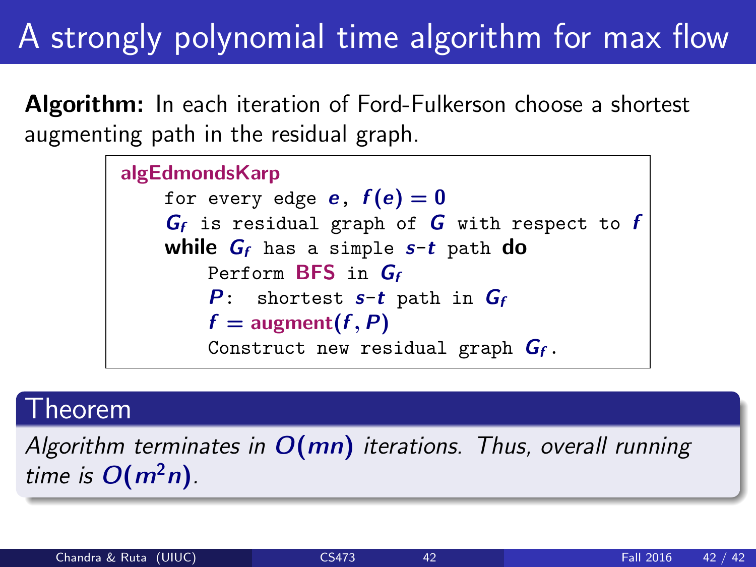# A strongly polynomial time algorithm for max flow

**Algorithm:** In each iteration of Ford-Fulkerson choose a shortest augmenting path in the residual graph.



#### Theorem

Algorithm terminates in  $O(mn)$  iterations. Thus, overall running time is  $O(m^2n)$ .